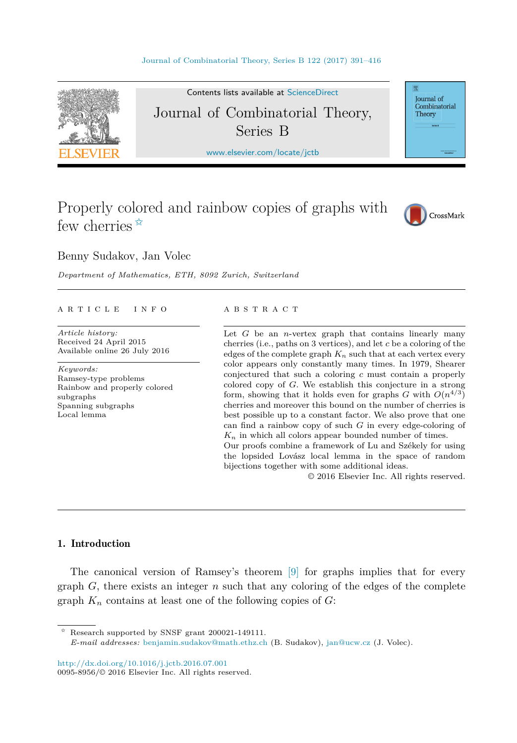

Contents lists available at [ScienceDirect](http://www.ScienceDirect.com/) Journal of Combinatorial Theory, Series B

[www.elsevier.com/locate/jctb](http://www.elsevier.com/locate/jctb)

Journal of Combinatorial Theory

# Properly colored and rainbow copies of graphs with few cherries  $\hat{z}$



Benny Sudakov, Jan Volec

*Department of Mathematics, ETH, 8092 Zurich, Switzerland*

#### A R T I C L E I N F O A B S T R A C T

*Article history:* Received 24 April 2015 Available online 26 July 2016

*Keywords:* Ramsey-type problems Rainbow and properly colored subgraphs Spanning subgraphs Local lemma

Let *G* be an *n*-vertex graph that contains linearly many cherries (i.e., paths on 3 vertices), and let *c* be a coloring of the edges of the complete graph  $K_n$  such that at each vertex every color appears only constantly many times. In 1979, Shearer conjectured that such a coloring *c* must contain a properly colored copy of *G*. We establish this conjecture in a strong form, showing that it holds even for graphs *G* with  $O(n^{4/3})$ cherries and moreover this bound on the number of cherries is best possible up to a constant factor. We also prove that one can find a rainbow copy of such *G* in every edge-coloring of  $K_n$  in which all colors appear bounded number of times. Our proofs combine a framework of Lu and Székely for using the lopsided Lovász local lemma in the space of random

bijections together with some additional ideas.

© 2016 Elsevier Inc. All rights reserved.

# 1. Introduction

The canonical version of Ramsey's theorem [\[9\]](#page-24-0) for graphs implies that for every graph *G*, there exists an integer *n* such that any coloring of the edges of the complete graph  $K_n$  contains at least one of the following copies of  $G$ :

✩ Research supported by SNSF grant 200021-149111.

<http://dx.doi.org/10.1016/j.jctb.2016.07.001> 0095-8956/© 2016 Elsevier Inc. All rights reserved.

*E-mail addresses:* [benjamin.sudakov@math.ethz.ch](mailto:benjamin.sudakov@math.ethz.ch) (B. Sudakov), [jan@ucw.cz](mailto:jan@ucw.cz) (J. Volec).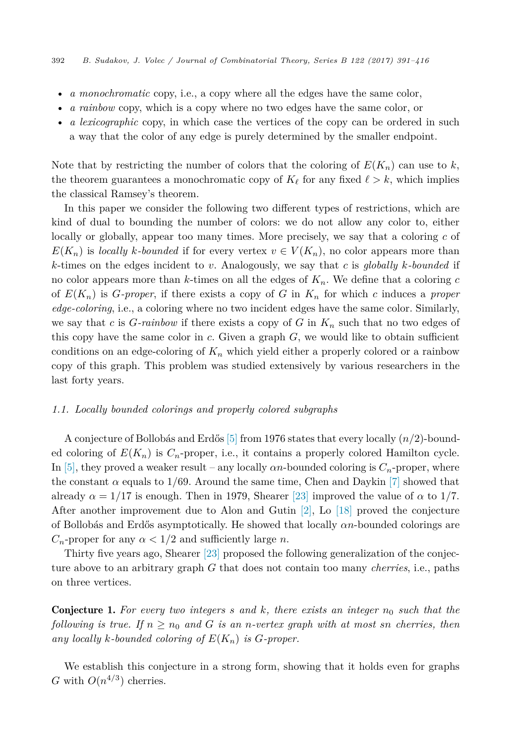- <span id="page-1-0"></span>• *a monochromatic* copy, i.e., a copy where all the edges have the same color,
- *a rainbow* copy, which is a copy where no two edges have the same color, or
- *a lexicographic* copy, in which case the vertices of the copy can be ordered in such a way that the color of any edge is purely determined by the smaller endpoint.

Note that by restricting the number of colors that the coloring of  $E(K_n)$  can use to  $k$ , the theorem guarantees a monochromatic copy of  $K_{\ell}$  for any fixed  $\ell > k$ , which implies the classical Ramsey's theorem.

In this paper we consider the following two different types of restrictions, which are kind of dual to bounding the number of colors: we do not allow any color to, either locally or globally, appear too many times. More precisely, we say that a coloring *c* of  $E(K_n)$  is *locally k-bounded* if for every vertex  $v \in V(K_n)$ , no color appears more than *k*-times on the edges incident to *v*. Analogously, we say that *c* is *globally k-bounded* if no color appears more than *k*-times on all the edges of *Kn*. We define that a coloring *c* of  $E(K_n)$  is *G*-proper, if there exists a copy of *G* in  $K_n$  for which *c* induces a *proper edge-coloring*, i.e., a coloring where no two incident edges have the same color. Similarly, we say that *c* is *G-rainbow* if there exists a copy of *G* in *K<sup>n</sup>* such that no two edges of this copy have the same color in *c*. Given a graph *G*, we would like to obtain sufficient conditions on an edge-coloring of  $K_n$  which yield either a properly colored or a rainbow copy of this graph. This problem was studied extensively by various researchers in the last forty years.

#### *1.1. Locally bounded colorings and properly colored subgraphs*

A conjecture of Bollobás and Erdős [\[5\]](#page-24-0) from 1976 states that every locally (*n/*2)-bounded coloring of  $E(K_n)$  is  $C_n$ -proper, i.e., it contains a properly colored Hamilton cycle. In [\[5\],](#page-24-0) they proved a weaker result – any locally  $\alpha n$ -bounded coloring is  $C_n$ -proper, where the constant *α* equals to 1*/*69. Around the same time, Chen and Daykin [\[7\]](#page-24-0) showed that already  $\alpha = 1/17$  is enough. Then in 1979, Shearer [\[23\]](#page-25-0) improved the value of  $\alpha$  to 1/7. After another improvement due to Alon and Gutin  $|2|$ , Lo  $|18|$  proved the conjecture of Bollobás and Erdős asymptotically. He showed that locally *αn*-bounded colorings are *C<sub>n</sub>*-proper for any  $\alpha < 1/2$  and sufficiently large *n*.

Thirty five years ago, Shearer [\[23\]](#page-25-0) proposed the following generalization of the conjecture above to an arbitrary graph *G* that does not contain too many *cherries*, i.e., paths on three vertices.

Conjecture 1. *For every two integers s and k, there exists an integer n*<sup>0</sup> *such that the following is true. If*  $n \geq n_0$  *and G is an n*-vertex *graph with at most sn cherries, then* any *locally k-bounded coloring of*  $E(K_n)$  *is G-proper.* 

We establish this conjecture in a strong form, showing that it holds even for graphs *G* with  $O(n^{4/3})$  cherries.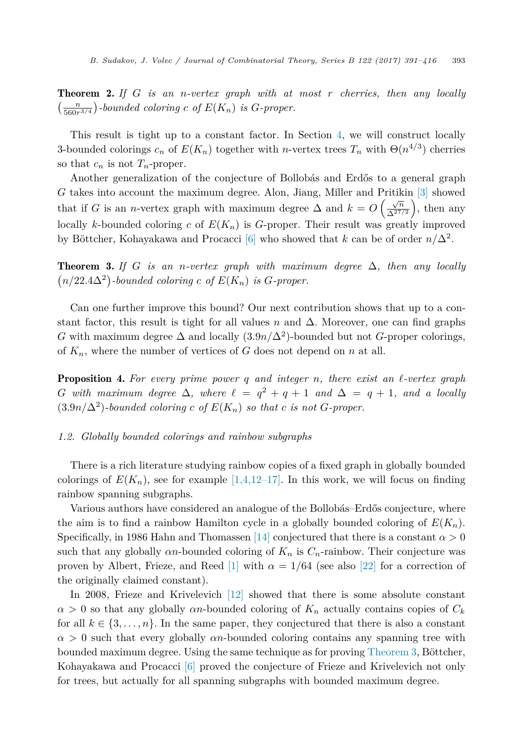<span id="page-2-0"></span>Theorem 2. *If G is an n-vertex graph with at most r cherries, then any locally*  $\left(\frac{n}{560r^{3/4}}\right)$ -bounded coloring *c* of  $E(K_n)$  is *G*-proper.

This result is tight up to a constant factor. In Section [4,](#page-20-0) we will construct locally 3-bounded colorings  $c_n$  of  $E(K_n)$  together with *n*-vertex trees  $T_n$  with  $\Theta(n^{4/3})$  cherries so that  $c_n$  is not  $T_n$ -proper.

Another generalization of the conjecture of Bollobás and Erdős to a general graph *G* takes into account the maximum degree. Alon, Jiang, Miller and Pritikin [\[3\]](#page-24-0) showed that if *G* is an *n*-vertex graph with maximum degree  $\Delta$  and  $k = O\left(\frac{\sqrt{n}}{\Delta^{27/2}}\right)$ , then any locally *k*-bounded coloring *c* of  $E(K_n)$  is *G*-proper. Their result was greatly improved by Böttcher, Kohayakawa and Procacci [\[6\]](#page-24-0) who showed that *k* can be of order  $n/\Delta^2$ .

**Theorem 3.** If G is an *n*-vertex graph with maximum degree  $\Delta$ , then any locally  $(n/22.4\Delta^2)$ -bounded coloring *c* of  $E(K_n)$  is *G*-proper.

Can one further improve this bound? Our next contribution shows that up to a constant factor, this result is tight for all values *n* and  $\Delta$ . Moreover, one can find graphs *G* with maximum degree  $\Delta$  and locally  $(3.9n/\Delta^2)$ -bounded but not *G*-proper colorings, of  $K_n$ , where the number of vertices of *G* does not depend on *n* at all.

Proposition 4. *For every prime power q and integer n, there exist an --vertex graph G* with maximum degree  $\Delta$ , where  $\ell = q^2 + q + 1$  and  $\Delta = q + 1$ , and a locally  $(3.9n/\Delta^2)$ *-bounded coloring c* of  $E(K_n)$  *so that c is not G-proper.* 

### *1.2. Globally bounded colorings and rainbow subgraphs*

There is a rich literature studying rainbow copies of a fixed graph in globally bounded colorings of  $E(K_n)$ , see for example  $[1,4,12-17]$ . In this work, we will focus on finding rainbow spanning subgraphs.

Various authors have considered an analogue of the Bollobás–Erdős conjecture, where the aim is to find a rainbow Hamilton cycle in a globally bounded coloring of  $E(K_n)$ . Specifically, in 1986 Hahn and Thomassen [\[14\]](#page-24-0) conjectured that there is a constant  $\alpha > 0$ such that any globally  $\alpha n$ -bounded coloring of  $K_n$  is  $C_n$ -rainbow. Their conjecture was proven by Albert, Frieze, and Reed [\[1\]](#page-24-0) with  $\alpha = 1/64$  (see also [\[22\]](#page-25-0) for a correction of the originally claimed constant).

In 2008, Frieze and Krivelevich [\[12\]](#page-24-0) showed that there is some absolute constant  $\alpha > 0$  so that any globally *αn*-bounded coloring of  $K_n$  actually contains copies of  $C_k$ for all  $k \in \{3, \ldots, n\}$ . In the same paper, they conjectured that there is also a constant  $\alpha > 0$  such that every globally  $\alpha n$ -bounded coloring contains any spanning tree with bounded maximum degree. Using the same technique as for proving Theorem 3, Böttcher, Kohayakawa and Procacci [\[6\]](#page-24-0) proved the conjecture of Frieze and Krivelevich not only for trees, but actually for all spanning subgraphs with bounded maximum degree.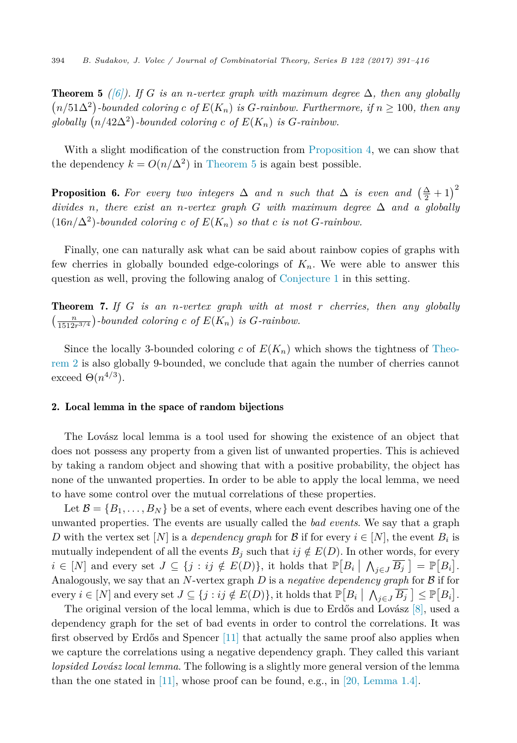<span id="page-3-0"></span>**Theorem 5** ((6)). If G is an *n*-vertex graph with maximum degree  $\Delta$ , then any globally  $(n/51\Delta^2)$ -bounded coloring *c* of  $E(K_n)$  is *G*-rainbow. Furthermore, if  $n \geq 100$ , then any  $\emph{globally }$   $\big(n/42\Delta^2\big)$ -bounded coloring  $c$  of  $E(K_n)$  is  $G$ -rainbow.

With a slight modification of the construction from [Proposition 4,](#page-2-0) we can show that the dependency  $k = O(n/\Delta^2)$  in Theorem 5 is again best possible.

**Proposition 6.** For every two integers  $\Delta$  and n such that  $\Delta$  is even and  $\left(\frac{\Delta}{2}+1\right)^2$ *divides n*, *there exist an n*-vertex *graph G with maximum degree*  $\Delta$  *and a globally*  $(16n/\Delta^2)$ -bounded coloring c of  $E(K_n)$  so that c is not G-rainbow.

Finally, one can naturally ask what can be said about rainbow copies of graphs with few cherries in globally bounded edge-colorings of *Kn*. We were able to answer this question as well, proving the following analog of [Conjecture 1](#page-1-0) in this setting.

Theorem 7. *If G is an n-vertex graph with at most r cherries, then any globally*  $\left(\frac{n}{1512r^{3/4}}\right)$ -bounded coloring *c* of  $E(K_n)$  is *G*-rainbow.

Since the locally 3-bounded coloring *c* of  $E(K_n)$  which shows the tightness of [Theo](#page-2-0)[rem 2](#page-2-0) is also globally 9-bounded, we conclude that again the number of cherries cannot exceed  $\Theta(n^{4/3})$ .

#### 2. Local lemma in the space of random bijections

The Lovász local lemma is a tool used for showing the existence of an object that does not possess any property from a given list of unwanted properties. This is achieved by taking a random object and showing that with a positive probability, the object has none of the unwanted properties. In order to be able to apply the local lemma, we need to have some control over the mutual correlations of these properties.

Let  $\mathcal{B} = \{B_1, \ldots, B_N\}$  be a set of events, where each event describes having one of the unwanted properties. The events are usually called the *bad events*. We say that a graph *D* with the vertex set  $[N]$  is a *dependency graph* for B if for every  $i \in [N]$ , the event  $B_i$  is mutually independent of all the events  $B_j$  such that  $ij \notin E(D)$ . In other words, for every  $i \in [N]$  and every set  $J \subseteq \{j : ij \notin E(D)\}$ , it holds that  $\mathbb{P}[B_i \mid \bigwedge_{j \in J} \overline{B_j} ] = \mathbb{P}[B_i].$ Analogously, we say that an *N*-vertex graph *D* is a *negative dependency graph* for B if for every  $i \in [N]$  and every set  $J \subseteq \{j : ij \notin E(D)\}$ , it holds that  $\mathbb{P}[B_i \mid \bigwedge_{j \in J} \overline{B_j} \subseteq \mathbb{P}[B_i].$ 

The original version of the local lemma, which is due to Erdős and Lovász [\[8\],](#page-24-0) used a dependency graph for the set of bad events in order to control the correlations. It was first observed by Erdős and Spencer [\[11\]](#page-24-0) that actually the same proof also applies when we capture the correlations using a negative dependency graph. They called this variant *lopsided Lovász local lemma*. The following is a slightly more general version of the lemma than the one stated in [\[11\],](#page-24-0) whose proof can be found, e.g., in [20, [Lemma 1.4\].](#page-25-0)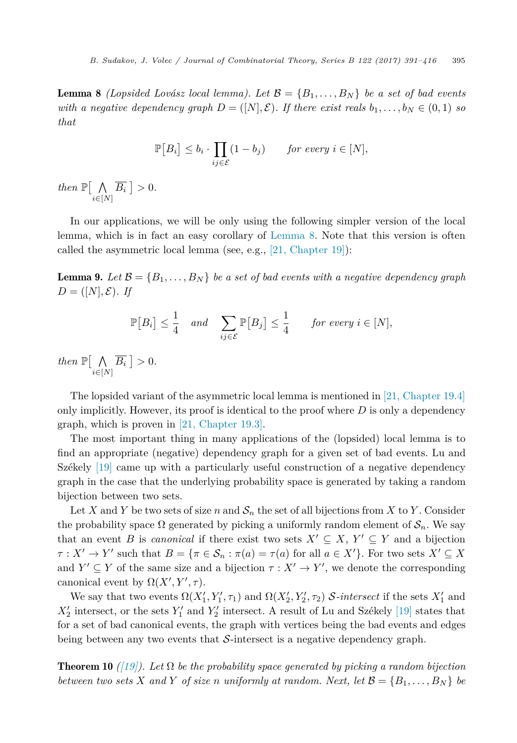<span id="page-4-0"></span>**Lemma 8** *(Lopsided Lovász local lemma). Let*  $\mathcal{B} = \{B_1, \ldots, B_N\}$  *be a set of bad events* with a negative dependency graph  $D = ([N], \mathcal{E})$ . If there exist reals  $b_1, \ldots, b_N \in (0, 1)$  so *that*

$$
\mathbb{P}[B_i] \le b_i \cdot \prod_{ij \in \mathcal{E}} (1 - b_j) \quad \text{for every } i \in [N],
$$

*then*  $\mathbb{P}[\Lambda]$ *i*∈[*N*]  $B_i \mid > 0$ .

In our applications, we will be only using the following simpler version of the local lemma, which is in fact an easy corollary of Lemma 8. Note that this version is often called the asymmetric local lemma (see, e.g., [21, [Chapter](#page-25-0) 19]):

**Lemma 9.** Let  $\mathcal{B} = \{B_1, \ldots, B_N\}$  be a set of bad events with a negative dependency graph  $D = ([N], \mathcal{E})$ *. If* 

$$
\mathbb{P}[B_i] \le \frac{1}{4} \quad and \quad \sum_{ij \in \mathcal{E}} \mathbb{P}[B_j] \le \frac{1}{4} \quad \text{for every } i \in [N],
$$

*then*  $\mathbb{P}[\Lambda]$ *i*∈[*N*]  $B_i \geq 0$ .

The lopsided variant of the asymmetric local lemma is mentioned in [21, [Chapter](#page-25-0) 19.4] only implicitly. However, its proof is identical to the proof where *D* is only a dependency graph, which is proven in [21, [Chapter](#page-25-0) 19.3].

The most important thing in many applications of the (lopsided) local lemma is to find an appropriate (negative) dependency graph for a given set of bad events. Lu and Székely [\[19\]](#page-25-0) came up with a particularly useful construction of a negative dependency graph in the case that the underlying probability space is generated by taking a random bijection between two sets.

Let X and Y be two sets of size n and  $S_n$  the set of all bijections from X to Y. Consider the probability space  $\Omega$  generated by picking a uniformly random element of  $S_n$ . We say that an event *B* is *canonical* if there exist two sets  $X' \subseteq X$ ,  $Y' \subseteq Y$  and a bijection  $\tau : X' \to Y'$  such that  $B = {\tau \in \mathcal{S}_n : \pi(a) = \tau(a)$  for all  $a \in X'}$ . For two sets  $X' \subseteq X$ and  $Y' \subseteq Y$  of the same size and a bijection  $\tau : X' \to Y'$ , we denote the corresponding canonical event by  $\Omega(X', Y', \tau)$ .

We say that two events  $\Omega(X'_1, Y'_1, \tau_1)$  and  $\Omega(X'_2, Y'_2, \tau_2)$  S-intersect if the sets  $X'_1$  and  $X_2'$  intersect, or the sets  $Y_1'$  and  $Y_2'$  intersect. A result of Lu and Székely [\[19\]](#page-25-0) states that for a set of bad canonical events, the graph with vertices being the bad events and edges being between any two events that  $S$ -intersect is a negative dependency graph.

**Theorem 10** *[\(\[19\]\)](#page-25-0).* Let  $\Omega$  be the probability space generated by picking a random bijection between two sets X and Y of size n uniformly at random. Next, let  $\mathcal{B} = \{B_1, \ldots, B_N\}$  be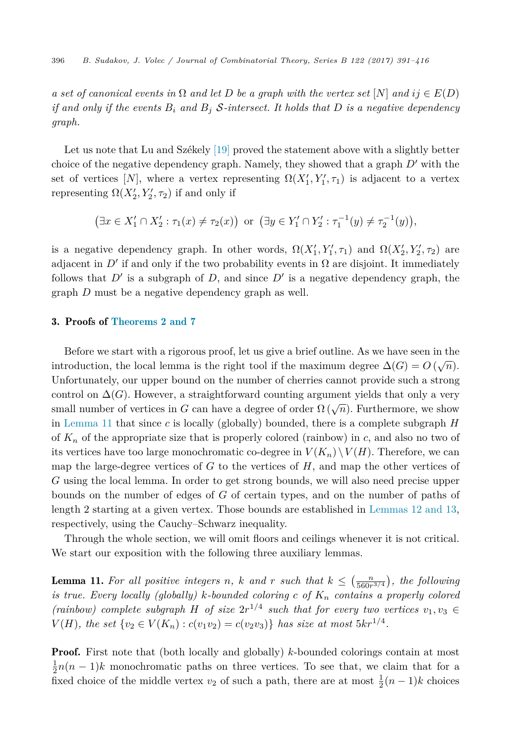<span id="page-5-0"></span>a set of canonical events in  $\Omega$  and let D be a graph with the vertex set  $[N]$  and  $ij \in E(D)$ if and only if the events  $B_i$  and  $B_j$  S-intersect. It holds that D is a negative dependency *graph.*

Let us note that Lu and Székely [\[19\]](#page-25-0) proved the statement above with a slightly better choice of the negative dependency graph. Namely, they showed that a graph *D'* with the set of vertices [N], where a vertex representing  $\Omega(X_1', Y_1', \tau_1)$  is adjacent to a vertex representing  $\Omega(X'_2, Y'_2, \tau_2)$  if and only if

$$
(\exists x \in X'_1 \cap X'_2 : \tau_1(x) \neq \tau_2(x))
$$
 or  $(\exists y \in Y'_1 \cap Y'_2 : \tau_1^{-1}(y) \neq \tau_2^{-1}(y)),$ 

is a negative dependency graph. In other words,  $\Omega(X_1', Y_1', \tau_1)$  and  $\Omega(X_2', Y_2', \tau_2)$  are adjacent in  $D'$  if and only if the two probability events in  $\Omega$  are disjoint. It immediately follows that  $D'$  is a subgraph of  $D$ , and since  $D'$  is a negative dependency graph, the graph *D* must be a negative dependency graph as well.

# 3. Proofs of [Theorems 2 and 7](#page-2-0)

Before we start with a rigorous proof, let us give a brief outline. As we have seen in the introduction, the local lemma is the right tool if the maximum degree  $\Delta(G) = O(\sqrt{n})$ . Unfortunately, our upper bound on the number of cherries cannot provide such a strong control on  $\Delta(G)$ . However, a straightforward counting argument yields that only a very small number of vertices in *G* can have a degree of order  $\Omega(\sqrt{n})$ . Furthermore, we show in Lemma 11 that since *c* is locally (globally) bounded, there is a complete subgraph *H* of  $K_n$  of the appropriate size that is properly colored (rainbow) in c, and also no two of its vertices have too large monochromatic co-degree in  $V(K_n) \setminus V(H)$ . Therefore, we can map the large-degree vertices of *G* to the vertices of *H*, and map the other vertices of *G* using the local lemma. In order to get strong bounds, we will also need precise upper bounds on the number of edges of *G* of certain types, and on the number of paths of length 2 starting at a given vertex. Those bounds are established in [Lemmas 12 and 13,](#page-6-0) respectively, using the Cauchy–Schwarz inequality.

Through the whole section, we will omit floors and ceilings whenever it is not critical. We start our exposition with the following three auxiliary lemmas.

**Lemma 11.** For all positive integers *n*, *k* and *r* such that  $k \leq \left(\frac{n}{560r^{3/4}}\right)$ , the following *is true. Every locally (globally) k-bounded coloring c of K<sup>n</sup> contains a properly colored (rainbow) complete subgraph H of size*  $2r^{1/4}$  *such that for every two vertices*  $v_1, v_3 \in$ *V*(*H*)*, the set*  $\{v_2 \in V(K_n) : c(v_1v_2) = c(v_2v_3)\}$  *has size at most*  $5kr^{1/4}$ *.* 

**Proof.** First note that (both locally and globally) *k*-bounded colorings contain at most  $\frac{1}{2}n(n-1)k$  monochromatic paths on three vertices. To see that, we claim that for a fixed choice of the middle vertex  $v_2$  of such a path, there are at most  $\frac{1}{2}(n-1)k$  choices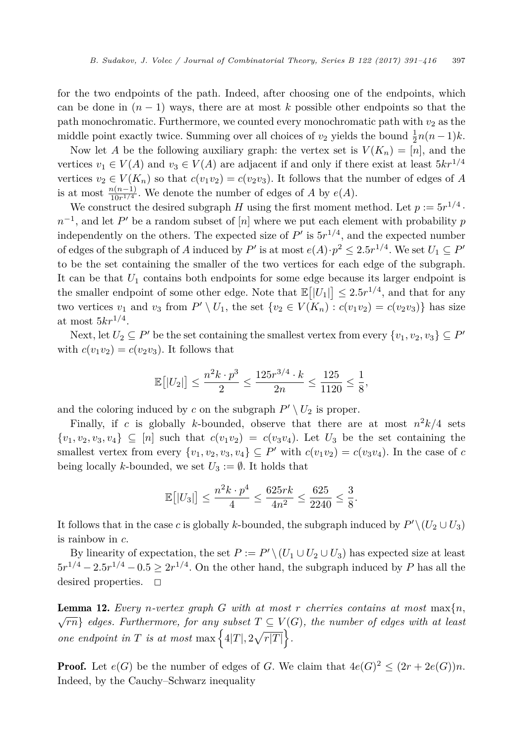<span id="page-6-0"></span>for the two endpoints of the path. Indeed, after choosing one of the endpoints, which can be done in  $(n-1)$  ways, there are at most k possible other endpoints so that the path monochromatic. Furthermore, we counted every monochromatic path with  $v_2$  as the middle point exactly twice. Summing over all choices of  $v_2$  yields the bound  $\frac{1}{2}n(n-1)k$ .

Now let *A* be the following auxiliary graph: the vertex set is  $V(K_n) = [n]$ , and the vertices  $v_1 \in V(A)$  and  $v_3 \in V(A)$  are adjacent if and only if there exist at least  $5kr^{1/4}$ vertices  $v_2 \in V(K_n)$  so that  $c(v_1v_2) = c(v_2v_3)$ . It follows that the number of edges of *A* is at most  $\frac{n(n-1)}{10r^{1/4}}$ . We denote the number of edges of *A* by *e*(*A*).

We construct the desired subgraph *H* using the first moment method. Let  $p := 5r^{1/4}$ .  $n^{-1}$ , and let *P* be a random subset of [*n*] where we put each element with probability *p* independently on the others. The expected size of  $P'$  is  $5r^{1/4}$ , and the expected number of edges of the subgraph of *A* induced by *P'* is at most  $e(A) \cdot p^2 \leq 2.5r^{1/4}$ . We set  $U_1 \subseteq P'$ to be the set containing the smaller of the two vertices for each edge of the subgraph. It can be that *U*<sup>1</sup> contains both endpoints for some edge because its larger endpoint is the smaller endpoint of some other edge. Note that  $\mathbb{E}[|U_1|] \leq 2.5r^{1/4}$ , and that for any two vertices  $v_1$  and  $v_3$  from  $P' \setminus U_1$ , the set  $\{v_2 \in V(K_n) : c(v_1v_2) = c(v_2v_3)\}\)$  has size at most  $5kr^{1/4}$ .

Next, let  $U_2 \subseteq P'$  be the set containing the smallest vertex from every  $\{v_1, v_2, v_3\} \subseteq P'$ with  $c(v_1v_2) = c(v_2v_3)$ . It follows that

$$
\mathbb{E}[|U_2|] \le \frac{n^2k \cdot p^3}{2} \le \frac{125r^{3/4} \cdot k}{2n} \le \frac{125}{1120} \le \frac{1}{8},
$$

and the coloring induced by *c* on the subgraph  $P' \setminus U_2$  is proper.

Finally, if *c* is globally *k*-bounded, observe that there are at most  $n^2k/4$  sets  $\{v_1, v_2, v_3, v_4\} \subseteq [n]$  such that  $c(v_1v_2) = c(v_3v_4)$ . Let  $U_3$  be the set containing the smallest vertex from every  $\{v_1, v_2, v_3, v_4\} \subseteq P'$  with  $c(v_1v_2) = c(v_3v_4)$ . In the case of *c* being locally *k*-bounded, we set  $U_3 := \emptyset$ . It holds that

$$
\mathbb{E}\big[|U_3|\big]\leq \frac{n^2k\cdot p^4}{4}\leq \frac{625rk}{4n^2}\leq \frac{625}{2240}\leq \frac{3}{8}.
$$

It follows that in the case *c* is globally *k*-bounded, the subgraph induced by  $P' \setminus (U_2 \cup U_3)$ is rainbow in *c*.

By linearity of expectation, the set  $P := P' \setminus (U_1 \cup U_2 \cup U_3)$  has expected size at least  $5r^{1/4} - 2.5r^{1/4} - 0.5 > 2r^{1/4}$ . On the other hand, the subgraph induced by *P* has all the desired properties.  $\square$ 

**Lemma 12.** Every *n*-vertex graph G with at most r cherries contains at most  $\max\{n,$  $\sqrt{rn}$  *edges. Furthermore, for any subset*  $T \subseteq V(G)$ *, the number of edges with at least one* endpoint in T is at most max  $\left\{4|T|, 2\sqrt{r|T|}\right\}$ .

**Proof.** Let  $e(G)$  be the number of edges of *G*. We claim that  $4e(G)^2 \leq (2r + 2e(G))n$ . Indeed, by the Cauchy–Schwarz inequality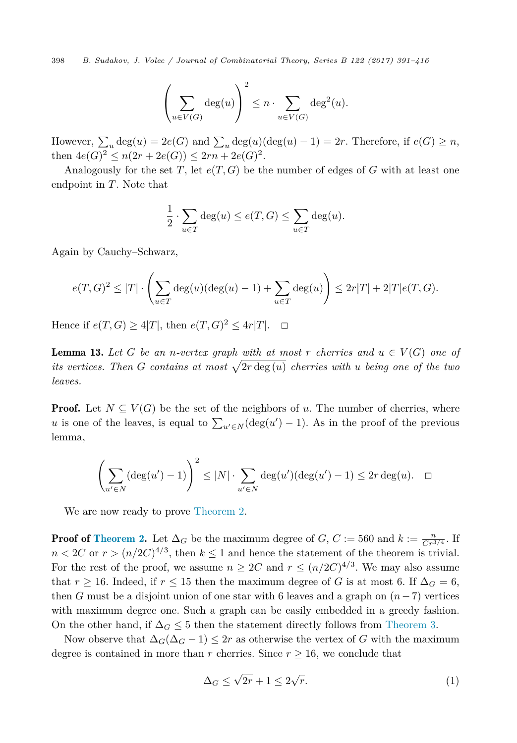<span id="page-7-0"></span>398 *B. Sudakov, J. Volec / Journal of Combinatorial Theory, Series B 122 (2017) 391–416*

$$
\left(\sum_{u \in V(G)} \deg(u)\right)^2 \le n \cdot \sum_{u \in V(G)} \deg^2(u).
$$

However,  $\sum_{u} \deg(u) = 2e(G)$  and  $\sum_{u} \deg(u) (\deg(u) - 1) = 2r$ . Therefore, if  $e(G) \ge n$ , then  $4e(G)^2 \leq n(2r + 2e(G)) \leq 2rn + 2e(G)^2$ .

Analogously for the set *T*, let  $e(T, G)$  be the number of edges of *G* with at least one endpoint in *T*. Note that

$$
\frac{1}{2} \cdot \sum_{u \in T} \deg(u) \le e(T, G) \le \sum_{u \in T} \deg(u).
$$

Again by Cauchy–Schwarz,

$$
e(T,G)^2 \leq |T| \cdot \left(\sum_{u \in T} \deg(u)(\deg(u) - 1) + \sum_{u \in T} \deg(u)\right) \leq 2r|T| + 2|T|e(T,G).
$$

Hence if *e*(*T*, *G*) > 4|*T*|, then *e*(*T*, *G*)<sup>2</sup> ≤ 4*r*|*T*|. □

**Lemma 13.** Let G be an *n*-vertex graph with at most r cherries and  $u \in V(G)$  one of *its vertices.* Then *G contains at most*  $\sqrt{2r \deg(u)}$  *cherries with u being one of the two leaves.*

**Proof.** Let  $N \subseteq V(G)$  be the set of the neighbors of *u*. The number of cherries, where *u* is one of the leaves, is equal to  $\sum_{u' \in N} (\deg(u') - 1)$ . As in the proof of the previous lemma,

$$
\left(\sum_{u' \in N} (\deg(u') - 1)\right)^2 \le |N| \cdot \sum_{u' \in N} \deg(u') (\deg(u') - 1) \le 2r \deg(u). \quad \Box
$$

We are now ready to prove [Theorem 2.](#page-2-0)

**Proof of [Theorem 2.](#page-2-0)** Let  $\Delta_G$  be the maximum degree of *G*,  $C := 560$  and  $k := \frac{n}{Cr^{3/4}}$ . If  $n < 2C$  or  $r > (n/2C)^{4/3}$ , then  $k \leq 1$  and hence the statement of the theorem is trivial. For the rest of the proof, we assume  $n \geq 2C$  and  $r \leq (n/2C)^{4/3}$ . We may also assume that  $r \geq 16$ . Indeed, if  $r \leq 15$  then the maximum degree of *G* is at most 6. If  $\Delta_G = 6$ , then *G* must be a disjoint union of one star with 6 leaves and a graph on  $(n-7)$  vertices with maximum degree one. Such a graph can be easily embedded in a greedy fashion. On the other hand, if  $\Delta_G \leq 5$  then the statement directly follows from [Theorem 3.](#page-2-0)

Now observe that  $\Delta_G(\Delta_G - 1) \leq 2r$  as otherwise the vertex of *G* with the maximum degree is contained in more than *r* cherries. Since  $r \geq 16$ , we conclude that

$$
\Delta_G \le \sqrt{2r} + 1 \le 2\sqrt{r}.\tag{1}
$$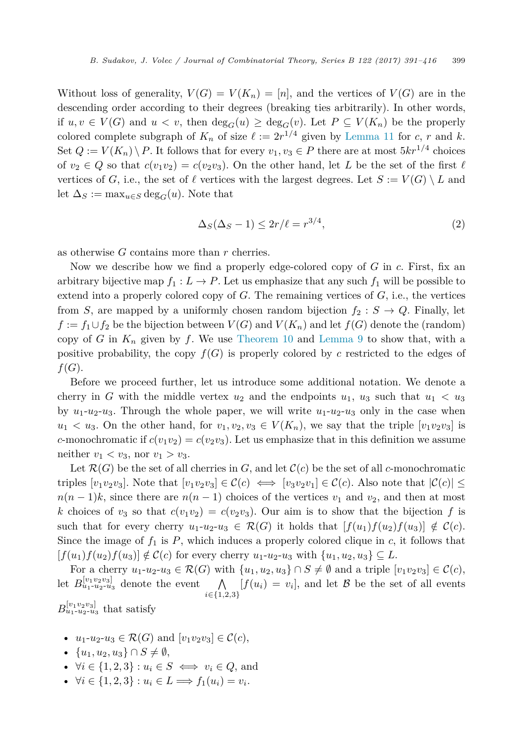<span id="page-8-0"></span>Without loss of generality,  $V(G) = V(K_n) = [n]$ , and the vertices of  $V(G)$  are in the descending order according to their degrees (breaking ties arbitrarily). In other words, if  $u, v \in V(G)$  and  $u < v$ , then  $\deg_G(u) \geq \deg_G(v)$ . Let  $P \subseteq V(K_n)$  be the properly colored complete subgraph of  $K_n$  of size  $\ell := 2r^{1/4}$  given by [Lemma 11](#page-5-0) for *c*, *r* and *k*. Set  $Q := V(K_n) \setminus P$ . It follows that for every  $v_1, v_3 \in P$  there are at most  $5kr^{1/4}$  choices of  $v_2 \in Q$  so that  $c(v_1v_2) = c(v_2v_3)$ . On the other hand, let *L* be the set of the first  $\ell$ vertices of *G*, i.e., the set of  $\ell$  vertices with the largest degrees. Let  $S := V(G) \setminus L$  and let  $\Delta_S := \max_{u \in S} \deg_G(u)$ . Note that

$$
\Delta_S(\Delta_S - 1) \le 2r/\ell = r^{3/4},\tag{2}
$$

as otherwise *G* contains more than *r* cherries.

Now we describe how we find a properly edge-colored copy of *G* in *c*. First, fix an arbitrary bijective map  $f_1 : L \to P$ . Let us emphasize that any such  $f_1$  will be possible to extend into a properly colored copy of *G*. The remaining vertices of *G*, i.e., the vertices from *S*, are mapped by a uniformly chosen random bijection  $f_2 : S \to Q$ . Finally, let *f* := *f*<sub>1</sub>∪*f*<sub>2</sub> be the bijection between *V*(*G*) and *V*(*K<sub>n</sub>*) and let *f*(*G*) denote the (random) copy of *G* in  $K_n$  given by *f*. We use [Theorem 10](#page-4-0) and [Lemma 9](#page-4-0) to show that, with a positive probability, the copy  $f(G)$  is properly colored by *c* restricted to the edges of  $f(G)$ .

Before we proceed further, let us introduce some additional notation. We denote a cherry in *G* with the middle vertex  $u_2$  and the endpoints  $u_1$ ,  $u_3$  such that  $u_1 < u_3$ by  $u_1-u_2-u_3$ . Through the whole paper, we will write  $u_1-u_2-u_3$  only in the case when  $u_1 < u_3$ . On the other hand, for  $v_1, v_2, v_3 \in V(K_n)$ , we say that the triple  $[v_1v_2v_3]$  is *c*-monochromatic if  $c(v_1v_2) = c(v_2v_3)$ . Let us emphasize that in this definition we assume neither  $v_1 < v_3$ , nor  $v_1 > v_3$ .

Let  $\mathcal{R}(G)$  be the set of all cherries in *G*, and let  $\mathcal{C}(c)$  be the set of all *c*-monochromatic triples  $[v_1v_2v_3]$ . Note that  $[v_1v_2v_3] \in \mathcal{C}(c) \iff [v_3v_2v_1] \in \mathcal{C}(c)$ . Also note that  $|\mathcal{C}(c)| \le$  $n(n-1)k$ , since there are  $n(n-1)$  choices of the vertices  $v_1$  and  $v_2$ , and then at most *k* choices of  $v_3$  so that  $c(v_1v_2) = c(v_2v_3)$ . Our aim is to show that the bijection f is such that for every cherry  $u_1-u_2-u_3 \in \mathcal{R}(G)$  it holds that  $[f(u_1)f(u_2)f(u_3)] \notin \mathcal{C}(c)$ . Since the image of  $f_1$  is  $P$ , which induces a properly colored clique in  $c$ , it follows that  $[f(u_1)f(u_2)f(u_3)] \notin C(c)$  for every cherry  $u_1-u_2-u_3$  with  $\{u_1, u_2, u_3\} \subseteq L$ .

For a cherry  $u_1-u_2-u_3 \in \mathcal{R}(G)$  with  $\{u_1,u_2,u_3\} \cap S \neq \emptyset$  and a triple  $[v_1v_2v_3] \in \mathcal{C}(c)$ , let  $B_{u_1-u_2-u_3}^{[v_1v_2v_3]}$  denote the event  $\bigwedge$  $\bigwedge_{i \in \{1,2,3\}} [f(u_i) = v_i]$ , and let *B* be the set of all events  $B^{[v_1v_2v_3]}_{u_1-u_2-u_3}$  that satisfy

- $u_1-u_2-u_3 \in \mathcal{R}(G)$  and  $[v_1v_2v_3] \in \mathcal{C}(c)$ ,
- $\{u_1, u_2, u_3\} \cap S \neq \emptyset$ ,
- $\forall i \in \{1, 2, 3\} : u_i \in S \iff v_i \in Q$ , and
- $\forall i \in \{1, 2, 3\} : u_i \in L \Longrightarrow f_1(u_i) = v_i.$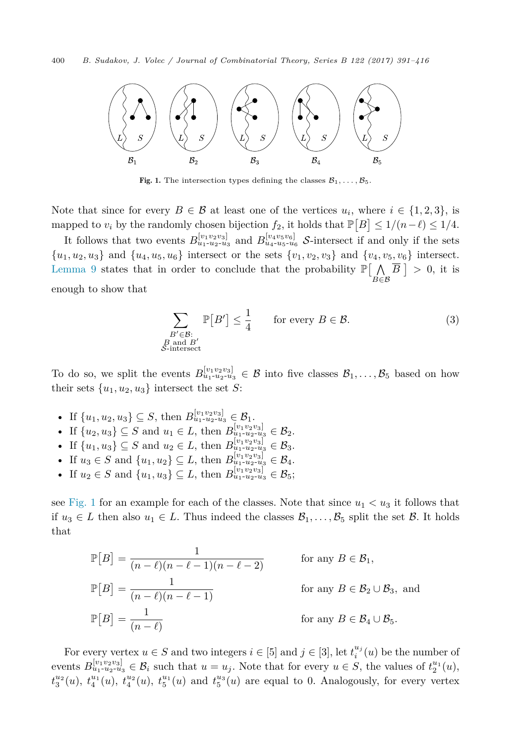<span id="page-9-0"></span>

Fig. 1. The intersection types defining the classes  $\mathcal{B}_1, \ldots, \mathcal{B}_5$ .

Note that since for every  $B \in \mathcal{B}$  at least one of the vertices  $u_i$ , where  $i \in \{1,2,3\}$ , is mapped to  $v_i$  by the randomly chosen bijection  $f_2$ , it holds that  $\mathbb{P}[B] \leq 1/(n-\ell) \leq 1/4$ .

It follows that two events  $B_{u_1+u_2+u_3}^{[v_1v_2v_3]}$  and  $B_{u_4+u_5+u_6}^{[v_4v_5v_6]}$  *S*-intersect if and only if the sets  ${u_1, u_2, u_3}$  and  ${u_4, u_5, u_6}$  intersect or the sets  ${v_1, v_2, v_3}$  and  ${v_4, v_5, v_6}$  intersect. [Lemma 9](#page-4-0) states that in order to conclude that the probability  $\mathbb{P}[\n\bigwedge$ *B*∈B  $B \vert > 0$ , it is enough to show that

$$
\sum_{\substack{B' \in \mathcal{B}:\\B \text{ and } B'\\ \mathcal{S}\text{-intersect}}} \mathbb{P}[B'] \le \frac{1}{4} \qquad \text{for every } B \in \mathcal{B}.\tag{3}
$$

To do so, we split the events  $B_{u_1+u_2+u_3}^{[v_1v_2v_3]} \in \mathcal{B}$  into five classes  $\mathcal{B}_1,\ldots,\mathcal{B}_5$  based on how their sets  $\{u_1, u_2, u_3\}$  intersect the set *S*:

- If  $\{u_1, u_2, u_3\} \subseteq S$ , then  $B_{u_1-u_2-u_3}^{[v_1v_2v_3]} \in \mathcal{B}_1$ .
- If  $\{u_2, u_3\} \subseteq S$  and  $u_1 \in L$ , then  $B_{u_1-u_2-u_3}^{[v_1v_2v_3]} \in \mathcal{B}_2$ .
- If  $\{u_1, u_3\} \subseteq S$  and  $u_2 \in L$ , then  $B_{u_1 \cdots u_2 \cdots u_3}^{[v_1, v_2, v_3]} \in \mathcal{B}_3$ .
- If  $u_3 \in S$  and  $\{u_1, u_2\} \subseteq L$ , then  $B_{u_1 \cdots u_2 \cdots u_3}^{[v_1 v_2 v_3]} \in \mathcal{B}_4$ .
- If  $u_2 \in S$  and  $\{u_1, u_3\} \subseteq L$ , then  $B_{u_1-u_2-u_3}^{[v_1v_2v_3]} \in \mathcal{B}_5$ ;

see Fig. 1 for an example for each of the classes. Note that since  $u_1 < u_3$  it follows that if  $u_3 \in L$  then also  $u_1 \in L$ . Thus indeed the classes  $\mathcal{B}_1, \ldots, \mathcal{B}_5$  split the set  $\mathcal{B}$ . It holds that

$$
\mathbb{P}[B] = \frac{1}{(n-\ell)(n-\ell-1)(n-\ell-2)} \quad \text{for any } B \in \mathcal{B}_1,
$$
  

$$
\mathbb{P}[B] = \frac{1}{(n-\ell)(n-\ell-1)} \quad \text{for any } B \in \mathcal{B}_2 \cup \mathcal{B}_3, \text{ and}
$$
  

$$
\mathbb{P}[B] = \frac{1}{(n-\ell)} \quad \text{for any } B \in \mathcal{B}_4 \cup \mathcal{B}_5.
$$

For every vertex  $u \in S$  and two integers  $i \in [5]$  and  $j \in [3]$ , let  $t_i^{u_j}(u)$  be the number of events  $B_{u_1-u_2-u_3}^{[v_1v_2v_3]} \in \mathcal{B}_i$  such that  $u = u_j$ . Note that for every  $u \in S$ , the values of  $t_2^{u_1}(u)$ ,  $t_3^{u_2}(u)$ ,  $t_4^{u_1}(u)$ ,  $t_4^{u_2}(u)$ ,  $t_5^{u_1}(u)$  and  $t_5^{u_3}(u)$  are equal to 0. Analogously, for every vertex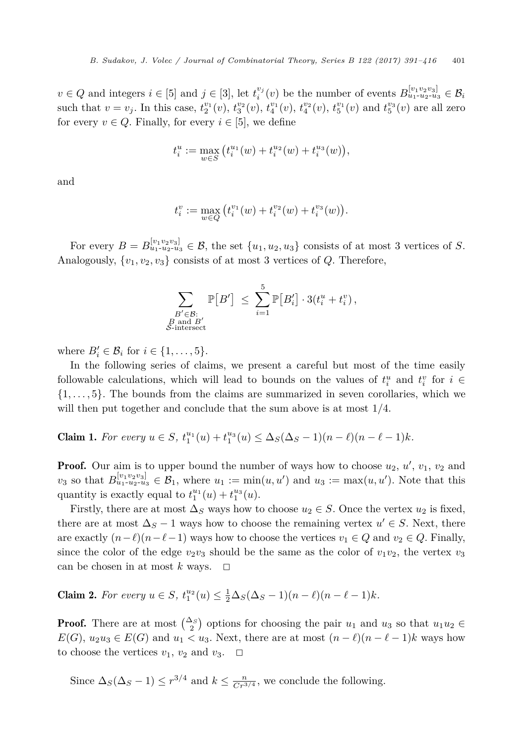<span id="page-10-0"></span> $v \in Q$  and integers  $i \in [5]$  and  $j \in [3]$ , let  $t_i^{v_j}(v)$  be the number of events  $B_{u_1 \cdot u_2 \cdot u_3}^{\{v_1 v_2 v_3\}} \in \mathcal{B}_i$ such that  $v = v_j$ . In this case,  $t_2^{v_1}(v)$ ,  $t_3^{v_2}(v)$ ,  $t_4^{v_1}(v)$ ,  $t_4^{v_2}(v)$ ,  $t_5^{v_1}(v)$  and  $t_5^{v_3}(v)$  are all zero for every  $v \in Q$ . Finally, for every  $i \in [5]$ , we define

$$
t_i^u := \max_{w \in S} (t_i^{u_1}(w) + t_i^{u_2}(w) + t_i^{u_3}(w)),
$$

and

$$
t_i^v := \max_{w \in Q} (t_i^{v_1}(w) + t_i^{v_2}(w) + t_i^{v_3}(w)).
$$

For every  $B = B^{[v_1 v_2 v_3]}_{u_1 - u_2 - u_3} \in \mathcal{B}$ , the set  $\{u_1, u_2, u_3\}$  consists of at most 3 vertices of *S*. Analogously,  $\{v_1, v_2, v_3\}$  consists of at most 3 vertices of *Q*. Therefore,

$$
\sum_{\substack{B' \in \mathcal{B}:\\B \text{ and } B'\\ \mathcal{S}\text{-intersect}}} \mathbb{P}[B'] \leq \sum_{i=1}^5 \mathbb{P}[B_i'] \cdot 3(t_i^u + t_i^v),
$$

where  $B_i' \in \mathcal{B}_i$  for  $i \in \{1, \ldots, 5\}.$ 

In the following series of claims, we present a careful but most of the time easily followable calculations, which will lead to bounds on the values of  $t_i^u$  and  $t_i^v$  for  $i \in$ {1*, ...,* 5}. The bounds from the claims are summarized in seven corollaries, which we will then put together and conclude that the sum above is at most 1*/*4.

**Claim 1.** For every  $u \in S$ ,  $t_1^{u_1}(u) + t_1^{u_3}(u) \leq \Delta_S(\Delta_S - 1)(n - \ell)(n - \ell - 1)k$ .

**Proof.** Our aim is to upper bound the number of ways how to choose  $u_2, u', v_1, v_2$  and  $v_3$  so that  $B_{u_1-u_2-u_3}^{[v_1v_2v_3]} \in \mathcal{B}_1$ , where  $u_1 := \min(u, u')$  and  $u_3 := \max(u, u')$ . Note that this quantity is exactly equal to  $t_1^{u_1}(u) + t_1^{u_3}(u)$ .

Firstly, there are at most  $\Delta_S$  ways how to choose  $u_2 \in S$ . Once the vertex  $u_2$  is fixed, there are at most  $\Delta_S - 1$  ways how to choose the remaining vertex  $u' \in S$ . Next, there are exactly  $(n-\ell)(n-\ell-1)$  ways how to choose the vertices  $v_1 \in Q$  and  $v_2 \in Q$ . Finally, since the color of the edge  $v_2v_3$  should be the same as the color of  $v_1v_2$ , the vertex  $v_3$ can be chosen in at most  $k$  ways.  $\Box$ 

**Claim 2.** For every  $u \in S$ ,  $t_1^{u_2}(u) \leq \frac{1}{2}\Delta_S(\Delta_S - 1)(n - \ell)(n - \ell - 1)k$ .

**Proof.** There are at most  $\binom{\Delta_S}{2}$  options for choosing the pair  $u_1$  and  $u_3$  so that  $u_1u_2 \in$ *E*(*G*),  $u_2u_3 \in E(G)$  and  $u_1 < u_3$ . Next, there are at most  $(n - \ell)(n - \ell - 1)k$  ways how to choose the vertices  $v_1, v_2$  and  $v_3$ .  $\Box$ 

Since  $\Delta_S(\Delta_S - 1) \le r^{3/4}$  and  $k \le \frac{n}{Cr^{3/4}}$ , we conclude the following.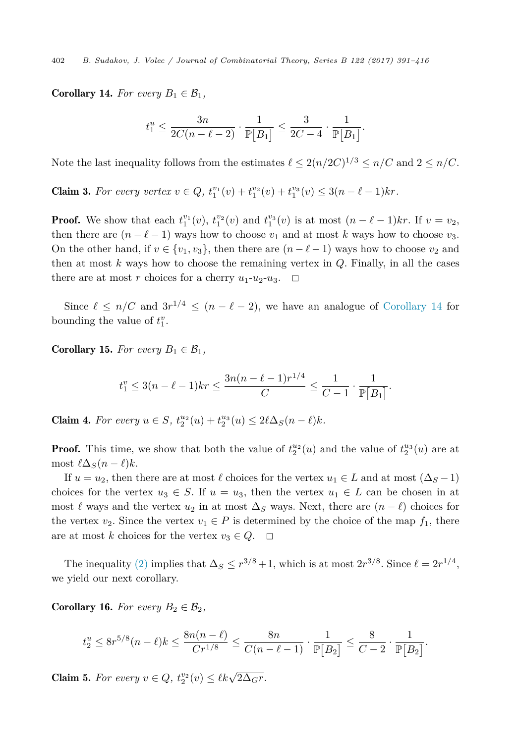<span id="page-11-0"></span>**Corollary 14.** For every  $B_1 \in \mathcal{B}_1$ ,

$$
t_1^u \le \frac{3n}{2C(n-\ell-2)} \cdot \frac{1}{\mathbb{P}\big[B_1\big]} \le \frac{3}{2C-4} \cdot \frac{1}{\mathbb{P}\big[B_1\big]}.
$$

Note the last inequality follows from the estimates  $\ell \leq 2(n/2C)^{1/3} \leq n/C$  and  $2 \leq n/C$ .

**Claim 3.** For every vertex  $v \in Q$ ,  $t_1^{v_1}(v) + t_1^{v_2}(v) + t_1^{v_3}(v) \leq 3(n - \ell - 1)kr$ .

**Proof.** We show that each  $t_1^{v_1}(v)$ ,  $t_1^{v_2}(v)$  and  $t_1^{v_3}(v)$  is at most  $(n - \ell - 1)kr$ . If  $v = v_2$ , then there are  $(n - \ell - 1)$  ways how to choose  $v_1$  and at most *k* ways how to choose  $v_3$ . On the other hand, if  $v \in \{v_1, v_3\}$ , then there are  $(n - \ell - 1)$  ways how to choose  $v_2$  and then at most *k* ways how to choose the remaining vertex in *Q*. Finally, in all the cases there are at most *r* choices for a cherry  $u_1-u_2-u_3$ .  $\Box$ 

Since  $\ell \leq n/C$  and  $3r^{1/4} \leq (n-\ell-2)$ , we have an analogue of Corollary 14 for bounding the value of  $t_1^v$ .

**Corollary 15.** For every  $B_1 \in \mathcal{B}_1$ ,

$$
t_1^v \le 3(n-\ell-1)kr \le \frac{3n(n-\ell-1)r^{1/4}}{C} \le \frac{1}{C-1} \cdot \frac{1}{\mathbb{P}[B_1]}.
$$

**Claim 4.** For every  $u \in S$ ,  $t_2^{u_2}(u) + t_2^{u_3}(u) \leq 2\ell\Delta_S(n-\ell)k$ .

**Proof.** This time, we show that both the value of  $t_2^{u_2}(u)$  and the value of  $t_2^{u_3}(u)$  are at  $\text{most } \ell\Delta_S(n-\ell)k.$ 

If  $u = u_2$ , then there are at most  $\ell$  choices for the vertex  $u_1 \in L$  and at most  $(\Delta_S - 1)$ choices for the vertex  $u_3 \in S$ . If  $u = u_3$ , then the vertex  $u_1 \in L$  can be chosen in at most  $\ell$  ways and the vertex  $u_2$  in at most  $\Delta_S$  ways. Next, there are  $(n - \ell)$  choices for the vertex  $v_2$ . Since the vertex  $v_1 \in P$  is determined by the choice of the map  $f_1$ , there are at most *k* choices for the vertex  $v_3 \in Q$ .  $\Box$ 

The inequality [\(2\)](#page-8-0) implies that  $\Delta_S \leq r^{3/8} + 1$ , which is at most  $2r^{3/8}$ . Since  $\ell = 2r^{1/4}$ , we yield our next corollary.

**Corollary 16.** For every  $B_2 \in \mathcal{B}_2$ ,

$$
t_2^u \le 8r^{5/8}(n-\ell)k \le \frac{8n(n-\ell)}{Cr^{1/8}} \le \frac{8n}{C(n-\ell-1)} \cdot \frac{1}{\mathbb{P}[B_2]} \le \frac{8}{C-2} \cdot \frac{1}{\mathbb{P}[B_2]}.
$$

Claim 5. For every  $v \in Q$ ,  $t_2^{v_2}(v) \le \ell k \sqrt{2\Delta_G r}$ .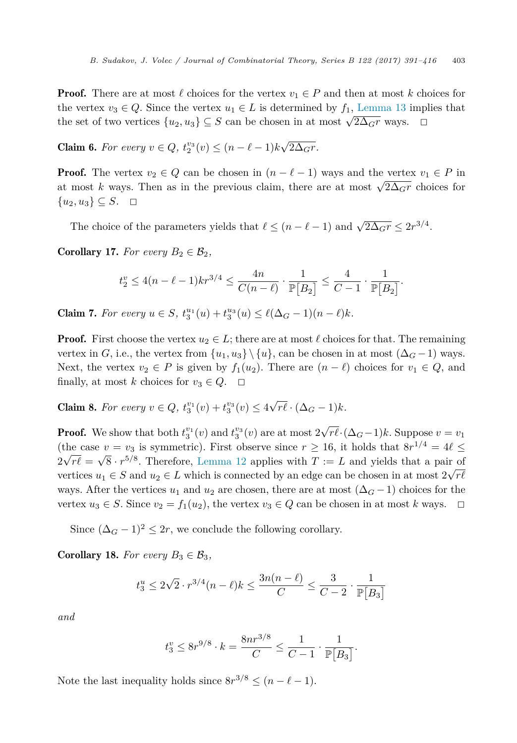**Proof.** There are at most  $\ell$  choices for the vertex  $v_1 \in P$  and then at most  $k$  choices for the vertex  $v_3 \in Q$ . Since the vertex  $u_1 \in L$  is determined by  $f_1$ , [Lemma 13](#page-7-0) implies that the set of two vertices  $\{u_2, u_3\} \subseteq S$  can be chosen in at most  $\sqrt{2\Delta_{G}r}$  ways.  $\Box$ 

**Claim 6.** For every  $v \in Q$ ,  $t_2^{v_3}(v) \le (n - \ell - 1)k\sqrt{2\Delta_G r}$ .

**Proof.** The vertex  $v_2 \in Q$  can be chosen in  $(n - \ell - 1)$  ways and the vertex  $v_1 \in P$  in at most *k* ways. Then as in the previous claim, there are at most  $\sqrt{2\Delta_{GT}}$  choices for  $\{u_2, u_3\} \subseteq S$ .  $\Box$ 

The choice of the parameters yields that  $\ell \leq (n - \ell - 1)$  and  $\sqrt{2\Delta_{G}r} \leq 2r^{3/4}$ .

**Corollary 17.** For every  $B_2 \in \mathcal{B}_2$ ,

$$
t_2^v \le 4(n-\ell-1)kr^{3/4} \le \frac{4n}{C(n-\ell)} \cdot \frac{1}{\mathbb{P}[B_2]} \le \frac{4}{C-1} \cdot \frac{1}{\mathbb{P}[B_2]}.
$$

**Claim 7.** For every  $u \in S$ ,  $t_3^{u_1}(u) + t_3^{u_3}(u) \leq \ell(\Delta_G - 1)(n - \ell)k$ .

**Proof.** First choose the vertex  $u_2 \in L$ ; there are at most  $\ell$  choices for that. The remaining vertex in *G*, i.e., the vertex from  $\{u_1, u_3\} \setminus \{u\}$ , can be chosen in at most  $(\Delta_G - 1)$  ways. Next, the vertex  $v_2 \in P$  is given by  $f_1(u_2)$ . There are  $(n - \ell)$  choices for  $v_1 \in Q$ , and finally, at most *k* choices for  $v_3 \in Q$ .  $\Box$ 

**Claim 8.** For every  $v \in Q$ ,  $t_3^{v_1}(v) + t_3^{v_3}(v) \leq 4\sqrt{r\ell} \cdot (\Delta_G - 1)k$ .

**Proof.** We show that both  $t_3^{v_1}(v)$  and  $t_3^{v_3}(v)$  are at most  $2\sqrt{r\ell} \cdot (\Delta_G-1)k$ . Suppose  $v = v_1$ (the case  $v = v_3$  is symmetric). First observe since  $r \ge 16$ , it holds that  $8r^{1/4} = 4\ell \le$  $2\sqrt{r\ell} = \sqrt{8} \cdot r^{5/8}$ . Therefore, [Lemma 12](#page-6-0) applies with  $T := L$  and yields that a pair of vertices  $u_1 \in S$  and  $u_2 \in L$  which is connected by an edge can be chosen in at most  $2\sqrt{r\ell}$ ways. After the vertices  $u_1$  and  $u_2$  are chosen, there are at most  $(\Delta_G - 1)$  choices for the vertex  $u_3 \in S$ . Since  $v_2 = f_1(u_2)$ , the vertex  $v_3 \in Q$  can be chosen in at most *k* ways.  $\Box$ 

Since  $({\Delta}_G - 1)^2 \leq 2r$ , we conclude the following corollary.

**Corollary 18.** For every  $B_3 \in \mathcal{B}_3$ ,

$$
t_3^u \le 2\sqrt{2} \cdot r^{3/4} (n - \ell) k \le \frac{3n(n - \ell)}{C} \le \frac{3}{C - 2} \cdot \frac{1}{\mathbb{P}[B_3]}
$$

*and*

$$
t_3^v \le 8r^{9/8} \cdot k = \frac{8nr^{3/8}}{C} \le \frac{1}{C-1} \cdot \frac{1}{\mathbb{P}[B_3]}.
$$

Note the last inequality holds since  $8r^{3/8} \leq (n - \ell - 1)$ .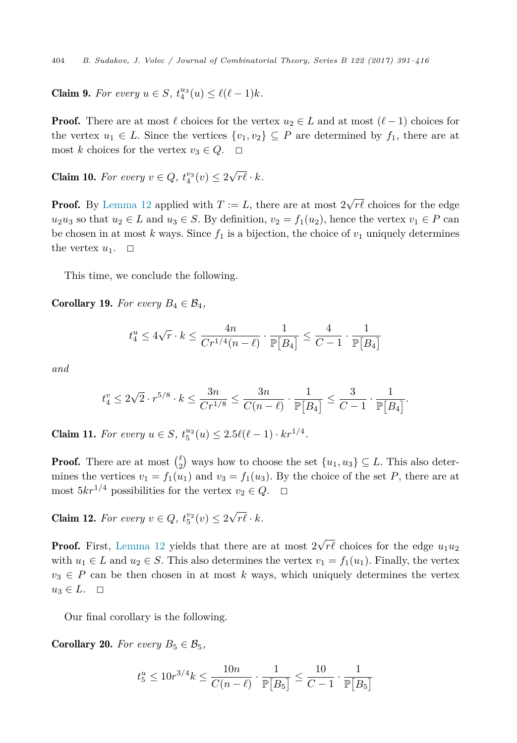**Claim 9.** For every  $u \in S$ ,  $t_4^{u_3}(u) \leq \ell(\ell-1)k$ .

**Proof.** There are at most  $\ell$  choices for the vertex  $u_2 \in L$  and at most  $(\ell - 1)$  choices for the vertex  $u_1 \in L$ . Since the vertices  $\{v_1, v_2\} \subset P$  are determined by  $f_1$ , there are at most *k* choices for the vertex  $v_3 \in Q$ .  $\Box$ 

**Claim 10.** For every  $v \in Q$ ,  $t_4^{v_3}(v) \leq 2\sqrt{r\ell} \cdot k$ .

**Proof.** By [Lemma 12](#page-6-0) applied with  $T := L$ , there are at most  $2\sqrt{r\ell}$  choices for the edge  $u_2u_3$  so that  $u_2 \in L$  and  $u_3 \in S$ . By definition,  $v_2 = f_1(u_2)$ , hence the vertex  $v_1 \in P$  can be chosen in at most *k* ways. Since  $f_1$  is a bijection, the choice of  $v_1$  uniquely determines the vertex  $u_1$ .  $\Box$ 

This time, we conclude the following.

**Corollary 19.** For every  $B_4 \in \mathcal{B}_4$ ,

$$
t_4^u \leq 4\sqrt{r}\cdot k \leq \frac{4n}{Cr^{1/4}(n-\ell)}\cdot \frac{1}{\mathbb{P}\big[B_4\big]} \leq \frac{4}{C-1}\cdot \frac{1}{\mathbb{P}\big[B_4\big]}
$$

*and*

$$
t_4^v \le 2\sqrt{2} \cdot r^{5/8} \cdot k \le \frac{3n}{Cr^{1/8}} \le \frac{3n}{C(n-\ell)} \cdot \frac{1}{\mathbb{P}\big[B_4\big]} \le \frac{3}{C-1} \cdot \frac{1}{\mathbb{P}\big[B_4\big]}.
$$

**Claim 11.** For every  $u \in S$ ,  $t_5^{u_2}(u) \leq 2.5\ell(\ell-1) \cdot kr^{1/4}$ .

**Proof.** There are at most  $\binom{\ell}{2}$  ways how to choose the set  $\{u_1, u_3\} \subseteq L$ . This also determines the vertices  $v_1 = f_1(u_1)$  and  $v_3 = f_1(u_3)$ . By the choice of the set P, there are at most  $5kr^{1/4}$  possibilities for the vertex  $v_2 \in Q$ .  $\Box$ 

**Claim 12.** For every  $v \in Q$ ,  $t_5^{v_2}(v) \leq 2\sqrt{r\ell} \cdot k$ .

**Proof.** First, [Lemma 12](#page-6-0) yields that there are at most  $2\sqrt{r\ell}$  choices for the edge  $u_1u_2$ with  $u_1 \in L$  and  $u_2 \in S$ . This also determines the vertex  $v_1 = f_1(u_1)$ . Finally, the vertex  $v_3 \in P$  can be then chosen in at most *k* ways, which uniquely determines the vertex  $u_3 \in L$ .  $\Box$ 

Our final corollary is the following.

**Corollary 20.** For every  $B_5 \in \mathcal{B}_5$ ,

$$
t_5^u \le 10r^{3/4}k \le \frac{10n}{C(n-\ell)} \cdot \frac{1}{\mathbb{P}[B_5]} \le \frac{10}{C-1} \cdot \frac{1}{\mathbb{P}[B_5]}
$$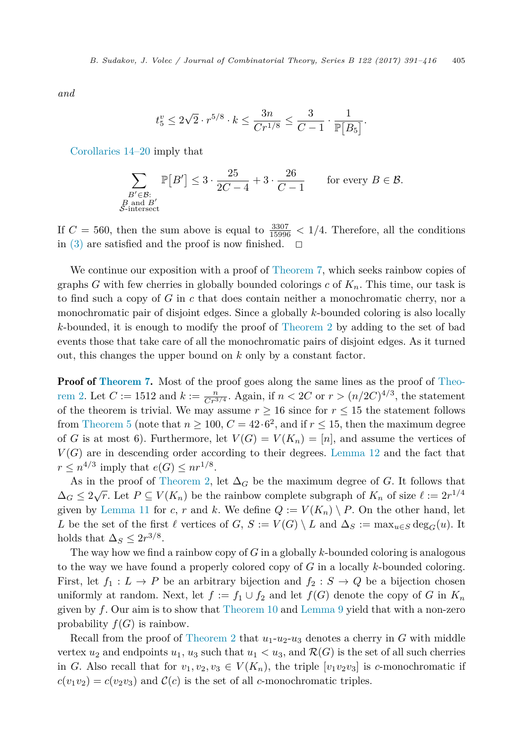*and*

$$
t_5^v \le 2\sqrt{2} \cdot r^{5/8} \cdot k \le \frac{3n}{Cr^{1/8}} \le \frac{3}{C-1} \cdot \frac{1}{\mathbb{P}[B_5]}.
$$

[Corollaries 14–20](#page-11-0) imply that

$$
\sum_{\substack{B' \in \mathcal{B}:\\B \text{ and } B'\\ \mathcal{S}\text{-intersect}}} \mathbb{P}[B'] \le 3 \cdot \frac{25}{2C - 4} + 3 \cdot \frac{26}{C - 1} \qquad \text{for every } B \in \mathcal{B}.
$$

If  $C = 560$ , then the sum above is equal to  $\frac{3307}{15996} < 1/4$ . Therefore, all the conditions in [\(3\)](#page-9-0) are satisfied and the proof is now finished.  $\Box$ 

We continue our exposition with a proof of [Theorem 7,](#page-3-0) which seeks rainbow copies of graphs *G* with few cherries in globally bounded colorings *c* of  $K_n$ . This time, our task is to find such a copy of *G* in *c* that does contain neither a monochromatic cherry, nor a monochromatic pair of disjoint edges. Since a globally *k*-bounded coloring is also locally *k*-bounded, it is enough to modify the proof of [Theorem 2](#page-2-0) by adding to the set of bad events those that take care of all the monochromatic pairs of disjoint edges. As it turned out, this changes the upper bound on *k* only by a constant factor.

**Proof of [Theorem 7.](#page-3-0)** Most of the proof goes along the same lines as the proof of [Theo](#page-2-0)[rem 2.](#page-2-0) Let  $C := 1512$  and  $k := \frac{n}{Cr^{3/4}}$ . Again, if  $n < 2C$  or  $r > (n/2C)^{4/3}$ , the statement of the theorem is trivial. We may assume  $r \geq 16$  since for  $r \leq 15$  the statement follows from [Theorem 5](#page-3-0) (note that  $n \ge 100$ ,  $C = 42.6^2$ , and if  $r \le 15$ , then the maximum degree of *G* is at most 6). Furthermore, let  $V(G) = V(K_n) = [n]$ , and assume the vertices of  $V(G)$  are in descending order according to their degrees. [Lemma 12](#page-6-0) and the fact that  $r \leq n^{4/3}$  imply that  $e(G) \leq nr^{1/8}$ .

As in the proof of [Theorem 2,](#page-2-0) let  $\Delta_G$  be the maximum degree of *G*. It follows that  $\Delta_G \leq 2\sqrt{r}$ . Let  $P \subseteq V(K_n)$  be the rainbow complete subgraph of  $K_n$  of size  $\ell := 2r^{1/4}$ given by [Lemma 11](#page-5-0) for *c*, *r* and *k*. We define  $Q := V(K_n) \setminus P$ . On the other hand, let *L* be the set of the first  $\ell$  vertices of  $G, S := V(G) \setminus L$  and  $\Delta_S := \max_{u \in S} \deg_G(u)$ . It holds that  $\Delta_S \leq 2r^{3/8}$ .

The way how we find a rainbow copy of *G* in a globally *k*-bounded coloring is analogous to the way we have found a properly colored copy of *G* in a locally *k*-bounded coloring. First, let  $f_1: L \to P$  be an arbitrary bijection and  $f_2: S \to Q$  be a bijection chosen uniformly at random. Next, let  $f := f_1 \cup f_2$  and let  $f(G)$  denote the copy of *G* in  $K_n$ given by *f*. Our aim is to show that [Theorem 10](#page-4-0) and [Lemma 9](#page-4-0) yield that with a non-zero probability  $f(G)$  is rainbow.

Recall from the proof of [Theorem 2](#page-2-0) that  $u_1-u_2-u_3$  denotes a cherry in *G* with middle vertex  $u_2$  and endpoints  $u_1, u_3$  such that  $u_1 < u_3$ , and  $\mathcal{R}(G)$  is the set of all such cherries in *G*. Also recall that for  $v_1, v_2, v_3 \in V(K_n)$ , the triple  $[v_1v_2v_3]$  is *c*-monochromatic if  $c(v_1v_2) = c(v_2v_3)$  and  $C(c)$  is the set of all *c*-monochromatic triples.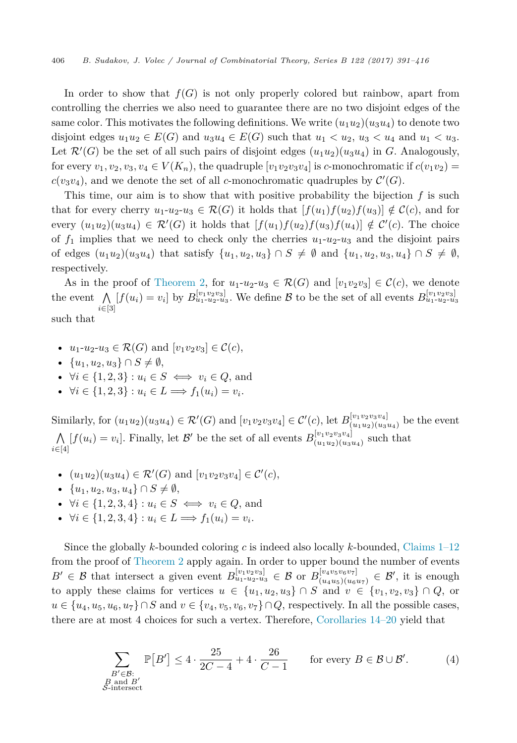<span id="page-15-0"></span>In order to show that  $f(G)$  is not only properly colored but rainbow, apart from controlling the cherries we also need to guarantee there are no two disjoint edges of the same color. This motivates the following definitions. We write  $(u_1u_2)(u_3u_4)$  to denote two disjoint edges  $u_1u_2 \in E(G)$  and  $u_3u_4 \in E(G)$  such that  $u_1 < u_2$ ,  $u_3 < u_4$  and  $u_1 < u_3$ . Let  $\mathcal{R}'(G)$  be the set of all such pairs of disjoint edges  $(u_1u_2)(u_3u_4)$  in *G*. Analogously, for every  $v_1, v_2, v_3, v_4 \in V(K_n)$ , the quadruple  $[v_1v_2v_3v_4]$  is *c*-monochromatic if  $c(v_1v_2)$  =  $c(v_3v_4)$ , and we denote the set of all *c*-monochromatic quadruples by  $\mathcal{C}'(G)$ .

This time, our aim is to show that with positive probability the bijection *f* is such that for every cherry  $u_1-u_2-u_3 \in \mathcal{R}(G)$  it holds that  $[f(u_1)f(u_2)f(u_3)] \notin \mathcal{C}(c)$ , and for every  $(u_1u_2)(u_3u_4) \in \mathcal{R}'(G)$  it holds that  $[f(u_1)f(u_2)f(u_3)f(u_4)] \notin \mathcal{C}'(c)$ . The choice of  $f_1$  implies that we need to check only the cherries  $u_1-u_2-u_3$  and the disjoint pairs of edges  $(u_1u_2)(u_3u_4)$  that satisfy  $\{u_1, u_2, u_3\} ∩ S ≠ ∅$  and  $\{u_1, u_2, u_3, u_4\} ∩ S ≠ ∅$ , respectively.

As in the proof of [Theorem 2,](#page-2-0) for  $u_1-u_2-u_3 \in \mathcal{R}(G)$  and  $[v_1v_2v_3] \in \mathcal{C}(c)$ , we denote the event  $\bigwedge_{i=1}^{n} [f(u_i) = v_i]$  by  $B_{u_1+u_2+u_3}^{[v_1v_2v_3]}$ . We define  $\mathcal{B}$  to be the set of all events  $B_{u_1+u_2+u_3}^{[v_1v_2v_3]}$ *i*∈[3] such that

- $u_1-u_2-u_3 \in \mathcal{R}(G)$  and  $[v_1v_2v_3] \in \mathcal{C}(c)$ ,
- $\{u_1, u_2, u_3\} \cap S \neq \emptyset$ ,
- $\forall i \in \{1, 2, 3\} : u_i \in S \iff v_i \in Q$ , and
- $\forall i \in \{1, 2, 3\} : u_i \in L \Longrightarrow f_1(u_i) = v_i.$

Similarly, for  $(u_1u_2)(u_3u_4) \in \mathcal{R}'(G)$  and  $[v_1v_2v_3v_4] \in \mathcal{C}'(c)$ , let  $B_{(u_1u_2)(u_3u_4)}^{[v_1v_2v_3v_4]}$  be the event Λ  $\bigwedge_{i \in [4]} [f(u_i) = v_i]$ . Finally, let B' be the set of all events  $B_{(u_1u_2)(u_3u_4)}^{[v_1v_2v_3v_4]}$  such that

- $(u_1u_2)(u_3u_4) \in \mathcal{R}'(G)$  and  $[v_1v_2v_3v_4] \in \mathcal{C}'(c)$ ,
- $\bullet$  {*u*<sub>1</sub>*, u*<sub>2</sub>*, u*<sub>3</sub>*, u*<sub>4</sub>} ∩ *S*  $\neq$  *Ø,*
- $\forall i \in \{1, 2, 3, 4\} : u_i \in S \iff v_i \in Q$ , and
- $\forall i \in \{1, 2, 3, 4\} : u_i \in L \Longrightarrow f_1(u_i) = v_i.$

Since the globally *k*-bounded coloring *c* is indeed also locally *k*-bounded, [Claims 1–12](#page-10-0) from the proof of [Theorem 2](#page-2-0) apply again. In order to upper bound the number of events  $B' \in \mathcal{B}$  that intersect a given event  $B^{[v_1v_2v_3]}_{u_1-u_2-u_3} \in \mathcal{B}$  or  $B^{[v_4v_5v_6v_7]}_{(u_4u_5)(u_6u_7)} \in \mathcal{B}'$ , it is enough to apply these claims for vertices  $u \in \{u_1, u_2, u_3\} \cap S$  and  $v \in \{v_1, v_2, v_3\} \cap Q$ , or  $u \in \{u_4, u_5, u_6, u_7\} \cap S$  and  $v \in \{v_4, v_5, v_6, v_7\} \cap Q$ , respectively. In all the possible cases, there are at most 4 choices for such a vertex. Therefore, [Corollaries 14–20](#page-11-0) yield that

$$
\sum_{\substack{B' \in \mathcal{B}:\\B \text{ and } B'\\ \mathcal{S}\text{-intersect}}} \mathbb{P}[B'] \le 4 \cdot \frac{25}{2C - 4} + 4 \cdot \frac{26}{C - 1} \qquad \text{for every } B \in \mathcal{B} \cup \mathcal{B}'. \tag{4}
$$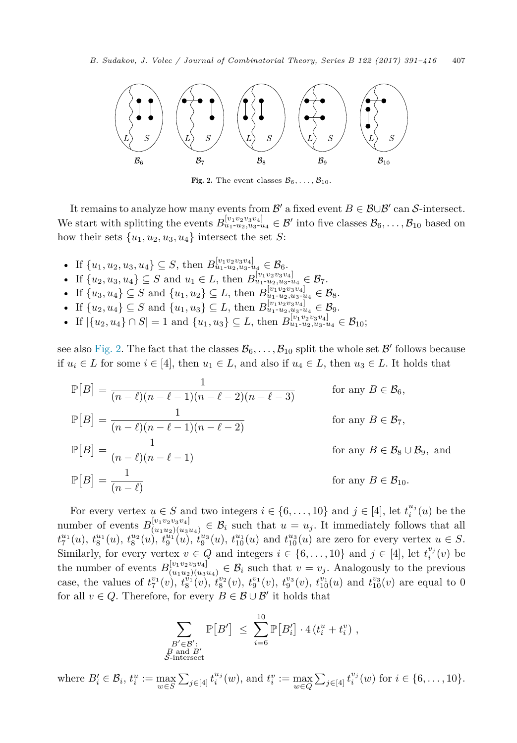

Fig. 2. The event classes  $\mathcal{B}_6, \ldots, \mathcal{B}_{10}$ .

It remains to analyze how many events from B' a fixed event  $B \in \mathcal{B} \cup \mathcal{B}'$  can S-intersect. We start with splitting the events  $B_{u_1-u_2,u_3-u_4}^{[v_1v_2v_3v_4]} \in \mathcal{B}'$  into five classes  $\mathcal{B}_6,\ldots,\mathcal{B}_{10}$  based on how their sets  $\{u_1, u_2, u_3, u_4\}$  intersect the set *S*:

- If  $\{u_1, u_2, u_3, u_4\}$  ⊆ *S*, then  $B_{u_1\text{-}u_2, u_3\text{-}u_4}^{[v_1v_2v_3v_4]}$  ∈  $B_6$ .
- If  $\{u_2, u_3, u_4\}$  ⊆ *S* and  $u_1 \in L$ , then  $B_{u_1}^{\lfloor v_1 v_2 v_3 v_4 \rfloor}$   $\{u_2, u_3, u_4\}$  ∈  $\mathcal{B}_7$ .
- If  $\{u_3, u_4\} \subseteq S$  and  $\{u_1, u_2\} \subseteq L$ , then  $B_{u_1-u_2, u_3-u_4}^{[v_1v_2v_3v_4]} \in \mathcal{B}_8$ .
- If  $\{u_2, u_4\} \subseteq S$  and  $\{u_1, u_3\} \subseteq L$ , then  $B_{u_1-u_2, u_3-u_4}^{[v_1v_2v_3v_4]} \in \mathcal{B}_9$ .
- If  $|\{u_2, u_4\} \cap S| = 1$  and  $\{u_1, u_3\} \subseteq L$ , then  $B_{u_1 \tcdot u_2, u_3 \tcdot u_4}^{[v_1, v_2, v_3, v_4]} \in \mathcal{B}_{10}$ ;

see also Fig. 2. The fact that the classes  $\mathcal{B}_6, \ldots, \mathcal{B}_{10}$  split the whole set  $\mathcal{B}'$  follows because if  $u_i$  ∈ *L* for some  $i \in [4]$ , then  $u_1$  ∈ *L*, and also if  $u_4$  ∈ *L*, then  $u_3$  ∈ *L*. It holds that

$$
\mathbb{P}[B] = \frac{1}{(n-\ell)(n-\ell-1)(n-\ell-2)(n-\ell-3)}
$$
 for any  $B \in \mathcal{B}_6$ ,  
\n
$$
\mathbb{P}[B] = \frac{1}{(n-\ell)(n-\ell-1)(n-\ell-2)}
$$
 for any  $B \in \mathcal{B}_7$ ,  
\n
$$
\mathbb{P}[B] = \frac{1}{(n-\ell)(n-\ell-1)}
$$
 for any  $B \in \mathcal{B}_8 \cup \mathcal{B}_9$ , and  
\nfor any  $B \in \mathcal{B}_8 \cup \mathcal{B}_9$ , and  
\nfor any  $B \in \mathcal{B}_{10}$ .

For every vertex  $u \in S$  and two integers  $i \in \{6, \ldots, 10\}$  and  $j \in [4]$ , let  $t_i^{u_j}(u)$  be the number of events  $B_{(u_1u_2)(u_3u_4)}^{[v_1v_2v_3v_4]} \in \mathcal{B}_i$  such that  $u = u_j$ . It immediately follows that all  $t_7^{u_1}(u)$ ,  $t_8^{u_1}(u)$ ,  $t_8^{u_2}(u)$ ,  $t_9^{u_1}(u)$ ,  $t_9^{u_3}(u)$ ,  $t_{10}^{u_1}(u)$  and  $t_{10}^{u_3}(u)$  are zero for every vertex  $u \in S$ . Similarly, for every vertex  $v \in Q$  and integers  $i \in \{6, \ldots, 10\}$  and  $j \in [4]$ , let  $t_i^{v_j}(v)$  be the number of events  $B_{(u_1u_2)(u_3u_4)}^{[v_1v_2v_3v_4]} \in \mathcal{B}_i$  such that  $v = v_j$ . Analogously to the previous case, the values of  $t^{v_1}_7(v)$ ,  $t^{v_1}_8(v)$ ,  $t^{v_2}_8(v)$ ,  $t^{v_1}_9(v)$ ,  $t^{v_3}_9(v)$ ,  $t^{v_1}_{10}(u)$  and  $t^{v_3}_{10}(v)$  are equal to 0 for all  $v \in Q$ . Therefore, for every  $B \in \mathcal{B} \cup \mathcal{B}'$  it holds that

$$
\sum_{\substack{B' \in \mathcal{B}' : \\ B \text{ and } B' \\ S \text{-intersect}}} \mathbb{P}[B'] \leq \sum_{i=6}^{10} \mathbb{P}[B'_i] \cdot 4(t_i^u + t_i^v) ,
$$

where  $B'_i \in \mathcal{B}_i$ ,  $t_i^u := \max_{w \in S} \sum_{j \in [4]} t_i^{u_j}(w)$ , and  $t_i^v := \max_{w \in Q} \sum_{j \in [4]} t_i^{v_j}(w)$  for  $i \in \{6, ..., 10\}$ .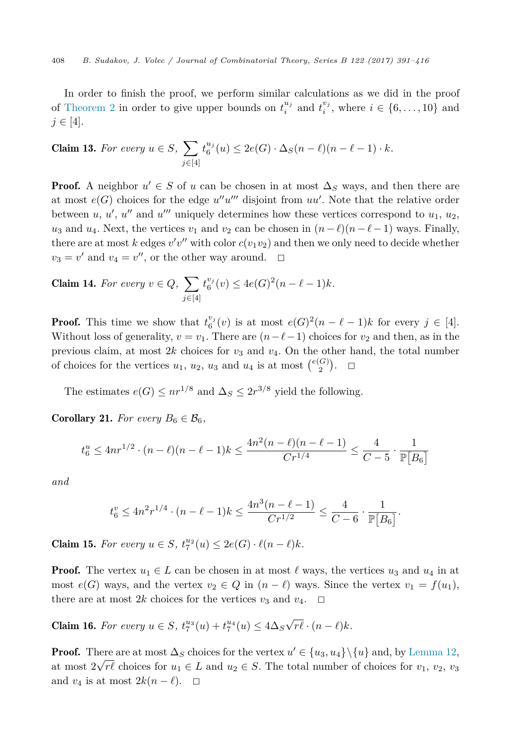<span id="page-17-0"></span>In order to finish the proof, we perform similar calculations as we did in the proof of [Theorem 2](#page-2-0) in order to give upper bounds on  $t_i^{u_j}$  and  $t_i^{v_j}$ , where  $i \in \{6, \ldots, 10\}$  and  $j ∈ [4].$ 

**Claim 13.** For every 
$$
u \in S
$$
,  $\sum_{j \in [4]} t_6^{u_j}(u) \leq 2e(G) \cdot \Delta_S(n-\ell)(n-\ell-1) \cdot k$ .

**Proof.** A neighbor  $u' \in S$  of *u* can be chosen in at most  $\Delta_S$  ways, and then there are at most  $e(G)$  choices for the edge  $u''u'''$  disjoint from  $uu'$ . Note that the relative order between  $u, u', u''$  and  $u'''$  uniquely determines how these vertices correspond to  $u_1, u_2$ , *u*<sub>3</sub> and *u*<sub>4</sub>. Next, the vertices *v*<sub>1</sub> and *v*<sub>2</sub> can be chosen in  $(n - \ell)(n - \ell - 1)$  ways. Finally, there are at most *k* edges  $v'v''$  with color  $c(v_1v_2)$  and then we only need to decide whether  $v_3 = v'$  and  $v_4 = v''$ , or the other way around.  $\Box$ 

**Claim 14.** For every 
$$
v \in Q
$$
,  $\sum_{j \in [4]} t_6^{v_j}(v) \le 4e(G)^2(n - \ell - 1)k$ .

**Proof.** This time we show that  $t_6^{v_j}(v)$  is at most  $e(G)^2(n - \ell - 1)k$  for every  $j \in [4]$ . Without loss of generality,  $v = v_1$ . There are  $(n - \ell - 1)$  choices for  $v_2$  and then, as in the previous claim, at most  $2k$  choices for  $v_3$  and  $v_4$ . On the other hand, the total number of choices for the vertices  $u_1, u_2, u_3$  and  $u_4$  is at most  $\binom{e(G)}{2}$ .  $\Box$ 

The estimates  $e(G) \leq nr^{1/8}$  and  $\Delta_S \leq 2r^{3/8}$  yield the following.

**Corollary 21.** For every  $B_6 \in \mathcal{B}_6$ ,

$$
t_6^u \le 4nr^{1/2} \cdot (n-\ell)(n-\ell-1)k \le \frac{4n^2(n-\ell)(n-\ell-1)}{Cr^{1/4}} \le \frac{4}{C-5} \cdot \frac{1}{\mathbb{P}[B_6]}
$$

*and*

$$
t_6^v \le 4n^2r^{1/4} \cdot (n - \ell - 1)k \le \frac{4n^3(n - \ell - 1)}{Cr^{1/2}} \le \frac{4}{C - 6} \cdot \frac{1}{\mathbb{P}[B_6]}.
$$

**Claim 15.** For every  $u \in S$ ,  $t_7^{u_2}(u) \le 2e(G) \cdot \ell(n-\ell)k$ .

**Proof.** The vertex  $u_1 \in L$  can be chosen in at most  $\ell$  ways, the vertices  $u_3$  and  $u_4$  in at most  $e(G)$  ways, and the vertex  $v_2 \in Q$  in  $(n - \ell)$  ways. Since the vertex  $v_1 = f(u_1)$ , there are at most 2k choices for the vertices  $v_3$  and  $v_4$ .  $\Box$ 

**Claim 16.** For every  $u \in S$ ,  $t_7^{u_3}(u) + t_7^{u_4}(u) \le 4\Delta_S \sqrt{r\ell} \cdot (n - \ell)k$ .

**Proof.** There are at most  $\Delta_S$  choices for the vertex  $u' \in \{u_3, u_4\} \setminus \{u\}$  and, by [Lemma 12,](#page-6-0) at most  $2\sqrt{r\ell}$  choices for  $u_1 \in L$  and  $u_2 \in S$ . The total number of choices for  $v_1, v_2, v_3$ and  $v_4$  is at most  $2k(n-\ell)$ .  $\Box$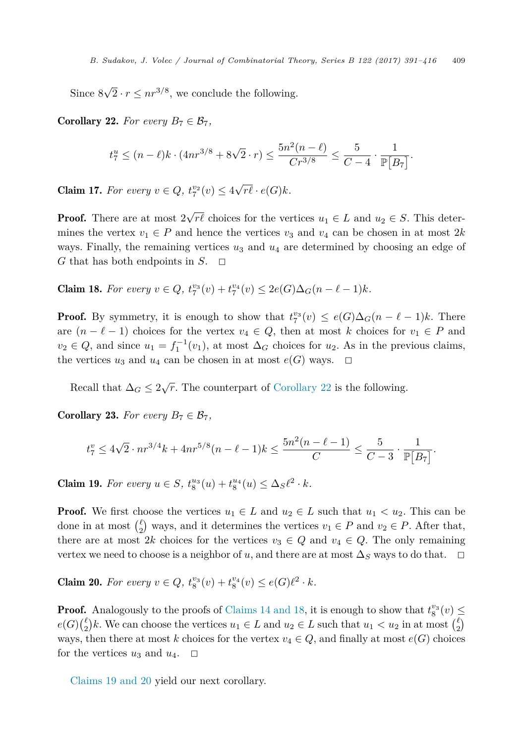Since  $8\sqrt{2} \cdot r \leq nr^{3/8}$ , we conclude the following.

**Corollary 22.** *For every*  $B_7 \in \mathcal{B}_7$ ,

$$
t_7^u \le (n-\ell)k \cdot (4nr^{3/8} + 8\sqrt{2} \cdot r) \le \frac{5n^2(n-\ell)}{Cr^{3/8}} \le \frac{5}{C-4} \cdot \frac{1}{\mathbb{P}[B_7]}.
$$

**Claim 17.** For every  $v \in Q$ ,  $t_7^{v_2}(v) \leq 4\sqrt{r\ell} \cdot e(G)k$ .

**Proof.** There are at most  $2\sqrt{r\ell}$  choices for the vertices  $u_1 \in L$  and  $u_2 \in S$ . This determines the vertex  $v_1 \in P$  and hence the vertices  $v_3$  and  $v_4$  can be chosen in at most 2*k* ways. Finally, the remaining vertices *u*<sup>3</sup> and *u*<sup>4</sup> are determined by choosing an edge of *G* that has both endpoints in  $S$ .  $\Box$ 

**Claim 18.** For every  $v \in Q$ ,  $t_7^{v_3}(v) + t_7^{v_4}(v) \leq 2e(G)\Delta_G(n-\ell-1)k$ .

**Proof.** By symmetry, it is enough to show that  $t_7^{v_3}(v) \leq e(G)\Delta_G(n-\ell-1)k$ . There are  $(n - \ell - 1)$  choices for the vertex  $v_4 \in Q$ , then at most *k* choices for  $v_1 \in P$  and  $v_2 \in Q$ , and since  $u_1 = f_1^{-1}(v_1)$ , at most  $\Delta_G$  choices for  $u_2$ . As in the previous claims, the vertices  $u_3$  and  $u_4$  can be chosen in at most  $e(G)$  ways.  $\Box$ 

Recall that  $\Delta_G \leq 2\sqrt{r}$ . The counterpart of Corollary 22 is the following.

**Corollary 23.** *For every*  $B_7 \in \mathcal{B}_7$ *,* 

$$
t_7^v \le 4\sqrt{2} \cdot nr^{3/4}k + 4nr^{5/8}(n-\ell-1)k \le \frac{5n^2(n-\ell-1)}{C} \le \frac{5}{C-3} \cdot \frac{1}{\mathbb{P}[B_7]}.
$$

**Claim 19.** For every  $u \in S$ ,  $t_8^{u_3}(u) + t_8^{u_4}(u) \leq \Delta_S \ell^2 \cdot k$ .

**Proof.** We first choose the vertices  $u_1 \in L$  and  $u_2 \in L$  such that  $u_1 < u_2$ . This can be done in at most  $\binom{\ell}{2}$  ways, and it determines the vertices  $v_1 \in P$  and  $v_2 \in P$ . After that, there are at most 2*k* choices for the vertices  $v_3 \in Q$  and  $v_4 \in Q$ . The only remaining vertex we need to choose is a neighbor of *u*, and there are at most  $\Delta_S$  ways to do that.  $\square$ 

**Claim 20.** For every  $v \in Q$ ,  $t_8^{v_3}(v) + t_8^{v_4}(v) \le e(G)\ell^2 \cdot k$ .

**Proof.** Analogously to the proofs of [Claims 14 and 18,](#page-17-0) it is enough to show that  $t_8^{v_3}(v) \le$  $e(G) \binom{\ell}{2} k$ . We can choose the vertices  $u_1 \in L$  and  $u_2 \in L$  such that  $u_1 < u_2$  in at most  $\binom{\ell}{2}$ ways, then there at most *k* choices for the vertex  $v_4 \in Q$ , and finally at most  $e(G)$  choices for the vertices  $u_3$  and  $u_4$ .  $\Box$ 

Claims 19 and 20 yield our next corollary.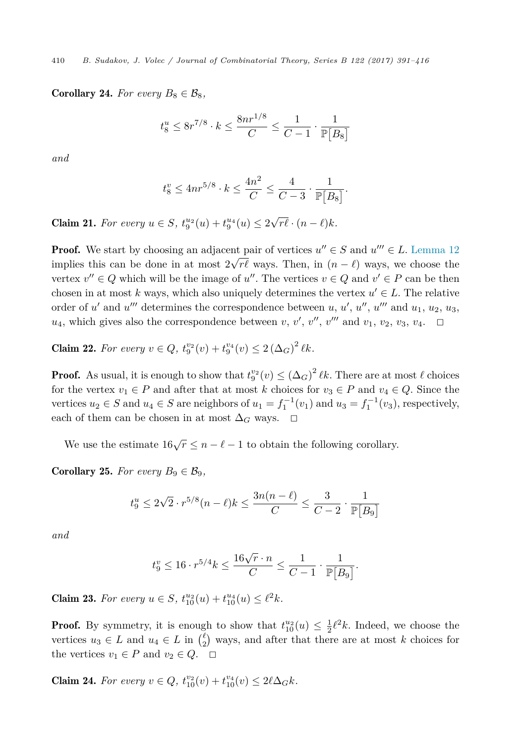**Corollary 24.** For every  $B_8 \in \mathcal{B}_8$ ,

$$
t_8^u \le 8r^{7/8} \cdot k \le \frac{8nr^{1/8}}{C} \le \frac{1}{C-1} \cdot \frac{1}{\mathbb{P}[B_8]}
$$

*and*

$$
t_8^v \le 4nr^{5/8} \cdot k \le \frac{4n^2}{C} \le \frac{4}{C-3} \cdot \frac{1}{\mathbb{P}[B_8]}.
$$

**Claim 21.** For every  $u \in S$ ,  $t_9^{u_2}(u) + t_9^{u_4}(u) \leq 2\sqrt{r\ell} \cdot (n - \ell)k$ .

**Proof.** We start by choosing an adjacent pair of vertices  $u'' \in S$  and  $u''' \in L$ . [Lemma 12](#page-6-0) implies this can be done in at most  $2\sqrt{r\ell}$  ways. Then, in  $(n - \ell)$  ways, we choose the vertex  $v'' \in Q$  which will be the image of u''. The vertices  $v \in Q$  and  $v' \in P$  can be then chosen in at most k ways, which also uniquely determines the vertex  $u' \in L$ . The relative order of *u'* and *u'''* determines the correspondence between *u*, *u'*, *u''*, *u'''* and *u*<sub>1</sub>, *u*<sub>2</sub>, *u*<sub>3</sub>,  $u_4$ , which gives also the correspondence between *v*, *v'*, *v''*, *v'''* and *v*<sub>1</sub>, *v*<sub>2</sub>, *v*<sub>3</sub>, *v*<sub>4</sub>.  $\Box$ 

**Claim 22.** For every  $v \in Q$ ,  $t_9^{v_2}(v) + t_9^{v_4}(v) \leq 2 (\Delta_G)^2 \ell k$ .

**Proof.** As usual, it is enough to show that  $t_9^{v_2}(v) \leq (\Delta_G)^2 \ell k$ . There are at most  $\ell$  choices for the vertex  $v_1 \in P$  and after that at most *k* choices for  $v_3 \in P$  and  $v_4 \in Q$ . Since the vertices  $u_2 \in S$  and  $u_4 \in S$  are neighbors of  $u_1 = f_1^{-1}(v_1)$  and  $u_3 = f_1^{-1}(v_3)$ , respectively, each of them can be chosen in at most  $\Delta_G$  ways.  $\Box$ 

We use the estimate  $16\sqrt{r} \leq n - \ell - 1$  to obtain the following corollary.

**Corollary 25.** For every  $B_9 \in \mathcal{B}_9$ ,

$$
t_9^u \le 2\sqrt{2} \cdot r^{5/8} (n - \ell) k \le \frac{3n(n - \ell)}{C} \le \frac{3}{C - 2} \cdot \frac{1}{\mathbb{P}[B_9]}
$$

*and*

$$
t_9^v \leq 16 \cdot r^{5/4}k \leq \frac{16\sqrt{r}\cdot n}{C} \leq \frac{1}{C-1} \cdot \frac{1}{\mathbb{P}\big[B_9\big]}.
$$

**Claim 23.** For every  $u \in S$ ,  $t_{10}^{u_2}(u) + t_{10}^{u_4}(u) \leq \ell^2 k$ .

**Proof.** By symmetry, it is enough to show that  $t_{10}^{u_2}(u) \leq \frac{1}{2}\ell^2 k$ . Indeed, we choose the vertices  $u_3 \in L$  and  $u_4 \in L$  in  $\binom{\ell}{2}$  ways, and after that there are at most *k* choices for the vertices  $v_1 \in P$  and  $v_2 \in Q$ .  $\Box$ 

**Claim 24.** For every  $v \in Q$ ,  $t_{10}^{v_2}(v) + t_{10}^{v_4}(v) \leq 2\ell\Delta_G k$ .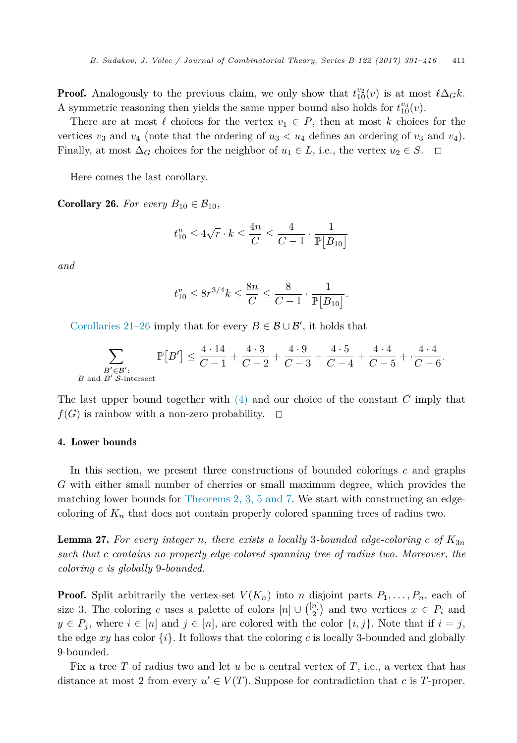<span id="page-20-0"></span>**Proof.** Analogously to the previous claim, we only show that  $t_{10}^{v_2}(v)$  is at most  $\ell \Delta_G k$ . A symmetric reasoning then yields the same upper bound also holds for  $t_{10}^{v_4}(v)$ .

There are at most  $\ell$  choices for the vertex  $v_1 \in P$ , then at most  $k$  choices for the vertices  $v_3$  and  $v_4$  (note that the ordering of  $u_3 < u_4$  defines an ordering of  $v_3$  and  $v_4$ ). Finally, at most  $\Delta_G$  choices for the neighbor of  $u_1 \in L$ , i.e., the vertex  $u_2 \in S$ .  $\Box$ 

Here comes the last corollary.

**Corollary 26.** For every  $B_{10} \in \mathcal{B}_{10}$ ,

$$
t_{10}^u \le 4\sqrt{r} \cdot k \le \frac{4n}{C} \le \frac{4}{C-1} \cdot \frac{1}{\mathbb{P}[B_{10}]}
$$

*and*

$$
t_{10}^v \le 8r^{3/4}k \le \frac{8n}{C} \le \frac{8}{C-1} \cdot \frac{1}{\mathbb{P}[B_{10}]}.
$$

[Corollaries 21–26](#page-17-0) imply that for every  $B \in \mathcal{B} \cup \mathcal{B}'$ , it holds that

$$
\sum_{\substack{B' \in \mathcal{B'}:\\B \text{ and } B' \text{ S-intersect}}} \mathbb{P}[B'] \le \frac{4 \cdot 14}{C-1} + \frac{4 \cdot 3}{C-2} + \frac{4 \cdot 9}{C-3} + \frac{4 \cdot 5}{C-4} + \frac{4 \cdot 4}{C-5} + \frac{4 \cdot 4}{C-6}.
$$

The last upper bound together with [\(4\)](#page-15-0) and our choice of the constant *C* imply that  $f(G)$  is rainbow with a non-zero probability.  $\Box$ 

# 4. Lower bounds

In this section, we present three constructions of bounded colorings *c* and graphs *G* with either small number of cherries or small maximum degree, which provides the matching lower bounds for [Theorems 2, 3, 5 and 7.](#page-2-0) We start with constructing an edgecoloring of  $K_n$  that does not contain properly colored spanning trees of radius two.

**Lemma 27.** For every integer *n*, there exists a locally 3-bounded edge-coloring c of  $K_{3n}$ *such that c contains no properly edge-colored spanning tree of radius two. Moreover, the coloring c is globally* 9*-bounded.*

**Proof.** Split arbitrarily the vertex-set  $V(K_n)$  into *n* disjoint parts  $P_1, \ldots, P_n$ , each of size 3. The coloring *c* uses a palette of colors  $[n] \cup \binom{[n]}{2}$  and two vertices  $x \in P_i$  and  $y \in P_j$ , where  $i \in [n]$  and  $j \in [n]$ , are colored with the color  $\{i, j\}$ . Note that if  $i = j$ , the edge  $xy$  has color  $\{i\}$ . It follows that the coloring c is locally 3-bounded and globally 9-bounded.

Fix a tree *T* of radius two and let *u* be a central vertex of *T*, i.e., a vertex that has distance at most 2 from every  $u' \in V(T)$ . Suppose for contradiction that *c* is *T*-proper.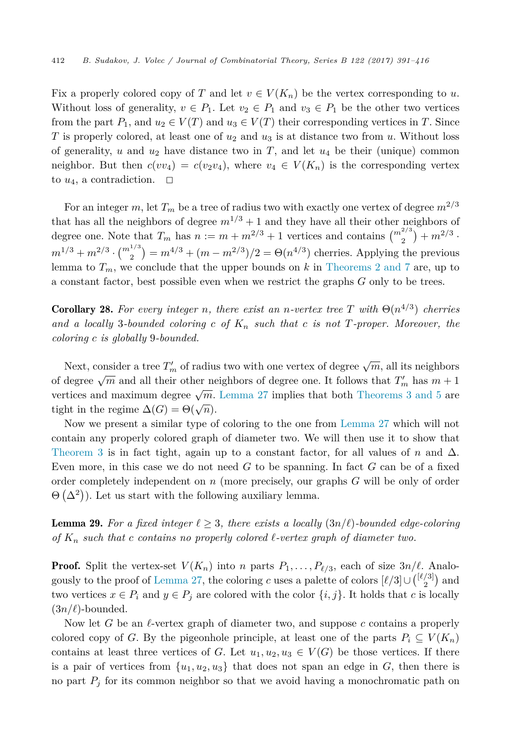<span id="page-21-0"></span>Fix a properly colored copy of *T* and let  $v \in V(K_n)$  be the vertex corresponding to *u*. Without loss of generality,  $v \in P_1$ . Let  $v_2 \in P_1$  and  $v_3 \in P_1$  be the other two vertices from the part  $P_1$ , and  $u_2 \in V(T)$  and  $u_3 \in V(T)$  their corresponding vertices in *T*. Since *T* is properly colored, at least one of  $u_2$  and  $u_3$  is at distance two from *u*. Without loss of generality, *u* and *u*<sup>2</sup> have distance two in *T*, and let *u*<sup>4</sup> be their (unique) common neighbor. But then  $c(vv_4) = c(v_2v_4)$ , where  $v_4 \in V(K_n)$  is the corresponding vertex to  $u_4$ , a contradiction.  $\Box$ 

For an integer  $m$ , let  $T_m$  be a tree of radius two with exactly one vertex of degree  $m^{2/3}$ that has all the neighbors of degree  $m^{1/3} + 1$  and they have all their other neighbors of degree one. Note that  $T_m$  has  $n := m + m^{2/3} + 1$  vertices and contains  $\binom{m^{2/3}}{2} + m^{2/3}$ .  $m^{1/3} + m^{2/3} \cdot {m^{1/3}} \choose 2} = m^{4/3} + (m - m^{2/3})/2 = \Theta(n^{4/3})$  cherries. Applying the previous lemma to  $T_m$ , we conclude that the upper bounds on  $k$  in [Theorems 2 and 7](#page-2-0) are, up to a constant factor, best possible even when we restrict the graphs *G* only to be trees.

**Corollary 28.** For every integer *n*, there exist an *n*-vertex tree *T* with  $\Theta(n^{4/3})$  cherries *and a locally* 3*-bounded coloring c of K<sup>n</sup> such that c is not T-proper. Moreover, the coloring c is globally* 9*-bounded.*

Next, consider a tree  $T'_{m}$  of radius two with one vertex of degree  $\sqrt{m}$ , all its neighbors of degree  $\sqrt{m}$  and all their other neighbors of degree one. It follows that  $T'_m$  has  $m+1$ vertices and maximum degree  $\sqrt{m}$ . [Lemma 27](#page-20-0) implies that both [Theorems 3 and 5](#page-2-0) are tight in the regime  $\Delta(G) = \Theta(\sqrt{n}).$ 

Now we present a similar type of coloring to the one from [Lemma 27](#page-20-0) which will not contain any properly colored graph of diameter two. We will then use it to show that [Theorem 3](#page-2-0) is in fact tight, again up to a constant factor, for all values of *n* and  $\Delta$ . Even more, in this case we do not need *G* to be spanning. In fact *G* can be of a fixed order completely independent on *n* (more precisely, our graphs *G* will be only of order  $\Theta(\Delta^2)$ ). Let us start with the following auxiliary lemma.

**Lemma 29.** For a fixed integer  $\ell \geq 3$ , there exists a locally  $(3n/\ell)$ -bounded edge-coloring *of K<sup>n</sup> such that c contains no properly colored --vertex graph of diameter two.*

**Proof.** Split the vertex-set  $V(K_n)$  into *n* parts  $P_1, \ldots, P_{\ell/3}$ , each of size  $3n/\ell$ . Analo-gously to the proof of [Lemma 27,](#page-20-0) the coloring *c* uses a palette of colors  $\ell/3 \cup \binom{\ell/3}{2}$  and two vertices  $x \in P_i$  and  $y \in P_j$  are colored with the color  $\{i, j\}$ . It holds that *c* is locally  $(3n/\ell)$ -bounded.

Now let G be an *l*-vertex graph of diameter two, and suppose c contains a properly colored copy of *G*. By the pigeonhole principle, at least one of the parts  $P_i \subseteq V(K_n)$ contains at least three vertices of *G*. Let  $u_1, u_2, u_3 \in V(G)$  be those vertices. If there is a pair of vertices from  $\{u_1, u_2, u_3\}$  that does not span an edge in *G*, then there is no part  $P_j$  for its common neighbor so that we avoid having a monochromatic path on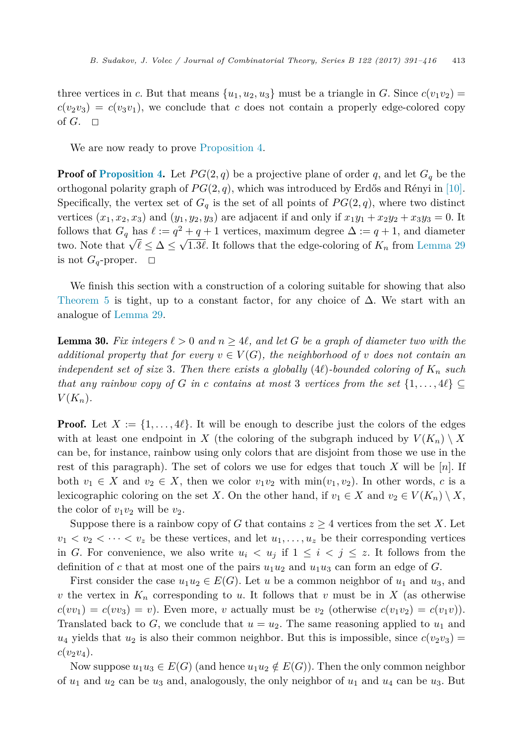<span id="page-22-0"></span>three vertices in *c*. But that means  $\{u_1, u_2, u_3\}$  must be a triangle in *G*. Since  $c(v_1v_2)$  $c(v_2v_3) = c(v_3v_1)$ , we conclude that *c* does not contain a properly edge-colored copy of  $G$ .  $\Box$ 

We are now ready to prove [Proposition 4.](#page-2-0)

**Proof of [Proposition 4.](#page-2-0)** Let  $PG(2, q)$  be a projective plane of order q, and let  $G_q$  be the orthogonal polarity graph of  $PG(2, q)$ , which was introduced by Erdős and Rényi in [\[10\].](#page-24-0) Specifically, the vertex set of  $G_q$  is the set of all points of  $PG(2,q)$ , where two distinct vertices  $(x_1, x_2, x_3)$  and  $(y_1, y_2, y_3)$  are adjacent if and only if  $x_1y_1 + x_2y_2 + x_3y_3 = 0$ . It follows that  $G_q$  has  $\ell := q^2 + q + 1$  vertices, maximum degree  $\Delta := q + 1$ , and diameter two. Note that  $\sqrt{\ell} \leq \Delta \leq \sqrt{1.3\ell}$ . It follows that the edge-coloring of  $K_n$  from [Lemma 29](#page-21-0) is not  $G_q$ -proper.  $\Box$ 

We finish this section with a construction of a coloring suitable for showing that also [Theorem 5](#page-3-0) is tight, up to a constant factor, for any choice of  $\Delta$ . We start with an analogue of [Lemma 29.](#page-21-0)

**Lemma 30.** Fix integers  $\ell > 0$  and  $n \geq 4\ell$ , and let G be a graph of diameter two with the *additional* property that for every  $v \in V(G)$ , the neighborhood of v does not contain an *independent set of size* 3*. Then there exists a globally* (4*e*)*-bounded coloring of*  $K_n$  *such that any rainbow copy of G in c contains at most* 3 *vertices from the set*  $\{1, \ldots, 4\ell\} \subseteq$  $V(K_n)$ .

**Proof.** Let  $X := \{1, \ldots, 4\ell\}$ . It will be enough to describe just the colors of the edges with at least one endpoint in *X* (the coloring of the subgraph induced by  $V(K_n) \setminus X$ can be, for instance, rainbow using only colors that are disjoint from those we use in the rest of this paragraph). The set of colors we use for edges that touch *X* will be [*n*]. If both  $v_1 \in X$  and  $v_2 \in X$ , then we color  $v_1v_2$  with  $\min(v_1, v_2)$ . In other words, *c* is a lexicographic coloring on the set *X*. On the other hand, if  $v_1 \in X$  and  $v_2 \in V(K_n) \setminus X$ , the color of  $v_1v_2$  will be  $v_2$ .

Suppose there is a rainbow copy of *G* that contains  $z \geq 4$  vertices from the set *X*. Let  $v_1 < v_2 < \cdots < v_z$  be these vertices, and let  $u_1, \ldots, u_z$  be their corresponding vertices in *G*. For convenience, we also write  $u_i < u_j$  if  $1 \leq i < j \leq z$ . It follows from the definition of *c* that at most one of the pairs  $u_1u_2$  and  $u_1u_3$  can form an edge of *G*.

First consider the case  $u_1u_2 \in E(G)$ . Let *u* be a common neighbor of  $u_1$  and  $u_3$ , and *v* the vertex in  $K_n$  corresponding to *u*. It follows that *v* must be in *X* (as otherwise  $c(vv_1) = c(vv_3) = v$ . Even more, *v* actually must be  $v_2$  (otherwise  $c(v_1v_2) = c(v_1v)$ ). Translated back to  $G$ , we conclude that  $u = u_2$ . The same reasoning applied to  $u_1$  and  $u_4$  yields that  $u_2$  is also their common neighbor. But this is impossible, since  $c(v_2v_3)$  $c(v_2v_4)$ .

Now suppose  $u_1u_3 \in E(G)$  (and hence  $u_1u_2 \notin E(G)$ ). Then the only common neighbor of  $u_1$  and  $u_2$  can be  $u_3$  and, analogously, the only neighbor of  $u_1$  and  $u_4$  can be  $u_3$ . But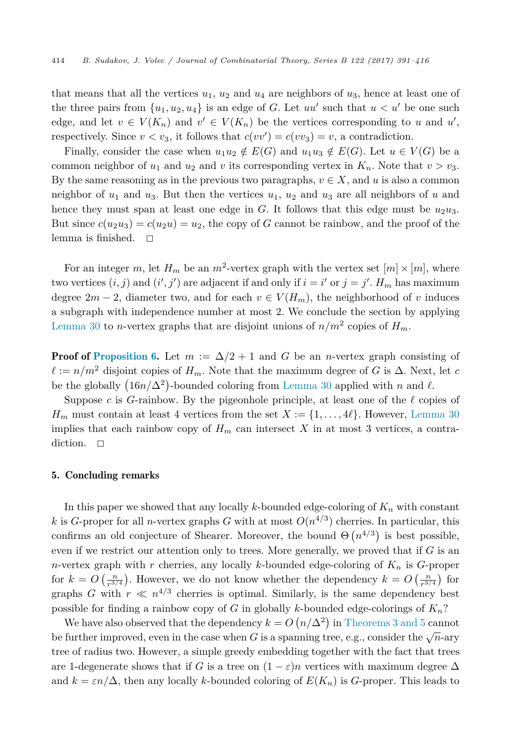that means that all the vertices  $u_1$ ,  $u_2$  and  $u_4$  are neighbors of  $u_3$ , hence at least one of the three pairs from  $\{u_1, u_2, u_4\}$  is an edge of *G*. Let *uu'* such that  $u < u'$  be one such edge, and let  $v \in V(K_n)$  and  $v' \in V(K_n)$  be the vertices corresponding to *u* and *u'*, respectively. Since  $v < v_3$ , it follows that  $c(vv') = c(vv_3) = v$ , a contradiction.

Finally, consider the case when  $u_1u_2 \notin E(G)$  and  $u_1u_3 \notin E(G)$ . Let  $u \in V(G)$  be a common neighbor of  $u_1$  and  $u_2$  and  $v$  its corresponding vertex in  $K_n$ . Note that  $v > v_3$ . By the same reasoning as in the previous two paragraphs,  $v \in X$ , and  $u$  is also a common neighbor of  $u_1$  and  $u_3$ . But then the vertices  $u_1$ ,  $u_2$  and  $u_3$  are all neighbors of  $u$  and hence they must span at least one edge in  $G$ . It follows that this edge must be  $u_2u_3$ . But since  $c(u_2u_3) = c(u_2u) = u_2$ , the copy of *G* cannot be rainbow, and the proof of the lemma is finished.  $\square$ 

For an integer *m*, let  $H_m$  be an  $m^2$ -vertex graph with the vertex set  $[m] \times [m]$ , where two vertices  $(i, j)$  and  $(i', j')$  are adjacent if and only if  $i = i'$  or  $j = j'$ .  $H_m$  has maximum degree  $2m - 2$ , diameter two, and for each  $v \in V(H_m)$ , the neighborhood of *v* induces a subgraph with independence number at most 2. We conclude the section by applying [Lemma 30](#page-22-0) to *n*-vertex graphs that are disjoint unions of  $n/m^2$  copies of  $H_m$ .

**Proof of [Proposition 6.](#page-3-0)** Let  $m := \Delta/2 + 1$  and G be an *n*-vertex graph consisting of  $\ell := n/m^2$  disjoint copies of  $H_m$ . Note that the maximum degree of *G* is  $\Delta$ . Next, let *c* be the globally  $(16n/\Delta^2)$ -bounded coloring from [Lemma 30](#page-22-0) applied with *n* and  $\ell$ .

Suppose *c* is *G*-rainbow. By the pigeonhole principle, at least one of the  $\ell$  copies of  $H_m$  must contain at least 4 vertices from the set  $X := \{1, \ldots, 4\ell\}$ . However, [Lemma 30](#page-22-0) implies that each rainbow copy of  $H_m$  can intersect X in at most 3 vertices, a contradiction.  $\square$ 

# 5. Concluding remarks

In this paper we showed that any locally *k*-bounded edge-coloring of *K<sup>n</sup>* with constant *k* is *G*-proper for all *n*-vertex graphs *G* with at most  $O(n^{4/3})$  cherries. In particular, this confirms an old conjecture of Shearer. Moreover, the bound  $\Theta(n^{4/3})$  is best possible, even if we restrict our attention only to trees. More generally, we proved that if *G* is an *n*-vertex graph with *r* cherries, any locally *k*-bounded edge-coloring of *K<sup>n</sup>* is *G*-proper for  $k = O\left(\frac{n}{r^{3/4}}\right)$ . However, we do not know whether the dependency  $k = O\left(\frac{n}{r^{3/4}}\right)$  for graphs *G* with  $r \ll n^{4/3}$  cherries is optimal. Similarly, is the same dependency best possible for finding a rainbow copy of *G* in globally *k*-bounded edge-colorings of *Kn*?

We have also observed that the dependency  $k = O(n/\Delta^2)$  in [Theorems 3 and 5](#page-2-0) cannot be further improved, even in the case when *G* is a spanning tree, e.g., consider the  $\sqrt{n}$ -ary tree of radius two. However, a simple greedy embedding together with the fact that trees are 1-degenerate shows that if *G* is a tree on  $(1 - \varepsilon)n$  vertices with maximum degree  $\Delta$ and  $k = \varepsilon n/\Delta$ , then any locally *k*-bounded coloring of  $E(K_n)$  is *G*-proper. This leads to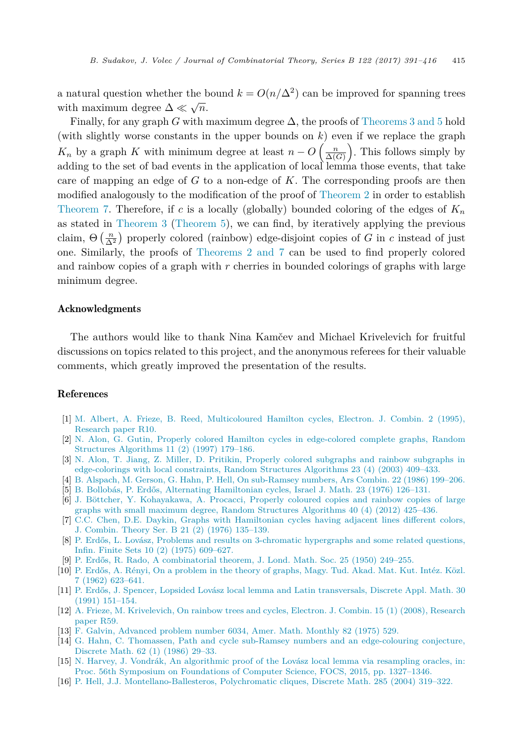<span id="page-24-0"></span>a natural question whether the bound  $k = O(n/\Delta^2)$  can be improved for spanning trees with maximum degree  $\Delta \ll \sqrt{n}$ .

Finally, for any graph *G* with maximum degree  $\Delta$ , the proofs of [Theorems 3 and 5](#page-2-0) hold (with slightly worse constants in the upper bounds on *k*) even if we replace the graph *K<sub>n</sub>* by a graph *K* with minimum degree at least  $n - O\left(\frac{n}{\Delta(G)}\right)$ . This follows simply by adding to the set of bad events in the application of local lemma those events, that take care of mapping an edge of *G* to a non-edge of *K*. The corresponding proofs are then modified analogously to the modification of the proof of [Theorem 2](#page-2-0) in order to establish [Theorem 7.](#page-3-0) Therefore, if *c* is a locally (globally) bounded coloring of the edges of *K<sup>n</sup>* as stated in [Theorem 3](#page-2-0) [\(Theorem 5\)](#page-3-0), we can find, by iteratively applying the previous claim,  $\Theta\left(\frac{n}{\Delta^2}\right)$  properly colored (rainbow) edge-disjoint copies of *G* in *c* instead of just one. Similarly, the proofs of [Theorems 2 and 7](#page-2-0) can be used to find properly colored and rainbow copies of a graph with *r* cherries in bounded colorings of graphs with large minimum degree.

## Acknowledgments

The authors would like to thank Nina Kamčev and Michael Krivelevich for fruitful discussions on topics related to this project, and the anonymous referees for their valuable comments, which greatly improved the presentation of the results.

#### References

- [1] M. Albert, A. Frieze, B. Reed, [Multicoloured](http://refhub.elsevier.com/S0095-8956(16)30046-6/bib6269623A616672s1) Hamilton cycles, Electron. J. Combin. 2 (1995), [Research](http://refhub.elsevier.com/S0095-8956(16)30046-6/bib6269623A616672s1) paper R10.
- [2] N. Alon, G. Gutin, Properly colored Hamilton cycles in [edge-colored](http://refhub.elsevier.com/S0095-8956(16)30046-6/bib6269623A616C6F6E677574696Es1) complete graphs, Random Structures [Algorithms](http://refhub.elsevier.com/S0095-8956(16)30046-6/bib6269623A616C6F6E677574696Es1) 11 (2) (1997) 179–186.
- [3] N. Alon, T. Jiang, Z. Miller, D. Pritikin, Properly colored [subgraphs](http://refhub.elsevier.com/S0095-8956(16)30046-6/bib6269623A616C6F6E6A69616E67s1) and rainbow subgraphs in [edge-colorings](http://refhub.elsevier.com/S0095-8956(16)30046-6/bib6269623A616C6F6E6A69616E67s1) with local constraints, Random Structures Algorithms 23 (4) (2003) 409–433.
- [4] B. Alspach, M. Gerson, G. Hahn, P. Hell, On [sub-Ramsey](http://refhub.elsevier.com/S0095-8956(16)30046-6/bib6269623A61676868s1) numbers, Ars Combin. 22 (1986) 199–206.
- [5] B. Bollobás, P. Erdős, Alternating [Hamiltonian](http://refhub.elsevier.com/S0095-8956(16)30046-6/bib6269623A626F6C6C6F626572646F73s1) cycles, Israel J. Math. 23 (1976) 126–131.
- [6] J. Böttcher, Y. [Kohayakawa,](http://refhub.elsevier.com/S0095-8956(16)30046-6/bib6269623A626B70s1) A. Procacci, Properly coloured copies and rainbow copies of large graphs with small maximum degree, Random Structures [Algorithms](http://refhub.elsevier.com/S0095-8956(16)30046-6/bib6269623A626B70s1) 40 (4) (2012) 425–436.
- [7] C.C. Chen, D.E. Daykin, Graphs with [Hamiltonian](http://refhub.elsevier.com/S0095-8956(16)30046-6/bib6269623A6368656E6461796Bs1) cycles having adjacent lines different colors, [J. Combin.](http://refhub.elsevier.com/S0095-8956(16)30046-6/bib6269623A6368656E6461796Bs1) Theory Ser. B 21 (2) (1976) 135–139.
- [8] P. Erdős, L. Lovász, Problems and results on 3-chromatic [hypergraphs](http://refhub.elsevier.com/S0095-8956(16)30046-6/bib6269623A6C6C6Cs1) and some related questions, Infin. Finite Sets 10 (2) (1975) [609–627.](http://refhub.elsevier.com/S0095-8956(16)30046-6/bib6269623A6C6C6Cs1)
- [9] P. Erdős, R. Rado, A [combinatorial](http://refhub.elsevier.com/S0095-8956(16)30046-6/bib6269623A6572646F737261646Fs1) theorem, J. Lond. Math. Soc. 25 (1950) 249–255.
- [10] P. Erdős, A. Rényi, On a [problem](http://refhub.elsevier.com/S0095-8956(16)30046-6/bib6269623A4552706F6C6172697479s1) in the theory of graphs, Magy. Tud. Akad. Mat. Kut. Intéz. Közl. 7 (1962) [623–641.](http://refhub.elsevier.com/S0095-8956(16)30046-6/bib6269623A4552706F6C6172697479s1)
- [11] P. Erdős, J. Spencer, Lopsided Lovász local lemma and [Latin transversals,](http://refhub.elsevier.com/S0095-8956(16)30046-6/bib6269623A6C6C6C6Cs1) Discrete Appl. Math. 30 (1991) [151–154.](http://refhub.elsevier.com/S0095-8956(16)30046-6/bib6269623A6C6C6C6Cs1)
- [12] A. Frieze, M. [Krivelevich,](http://refhub.elsevier.com/S0095-8956(16)30046-6/bib6269623A667269657A656B726976s1) On rainbow trees and cycles, Electron. J. Combin. 15 (1) (2008), Research [paper](http://refhub.elsevier.com/S0095-8956(16)30046-6/bib6269623A667269657A656B726976s1) R59.
- [13] F. Galvin, [Advanced](http://refhub.elsevier.com/S0095-8956(16)30046-6/bib6269623A67616C76696Es1) problem number 6034, Amer. Math. Monthly 82 (1975) 529.
- [14] G. Hahn, C. Thomassen, Path and cycle sub-Ramsey numbers and an [edge-colouring](http://refhub.elsevier.com/S0095-8956(16)30046-6/bib6269623A6861686E74686F6D617373656Es1) conjecture, [Discrete](http://refhub.elsevier.com/S0095-8956(16)30046-6/bib6269623A6861686E74686F6D617373656Es1) Math. 62 (1) (1986) 29–33.
- [15] N. Harvey, J. Vondrák, An [algorithmic](http://refhub.elsevier.com/S0095-8956(16)30046-6/bib6269623A686172766579766F6E6472616Bs1) proof of the Lovász local lemma via resampling oracles, in: Proc. 56th Symposium on Foundations of Computer Science, FOCS, 2015, [pp. 1327–1346.](http://refhub.elsevier.com/S0095-8956(16)30046-6/bib6269623A686172766579766F6E6472616Bs1)
- [16] P. Hell, J.J. [Montellano-Ballesteros,](http://refhub.elsevier.com/S0095-8956(16)30046-6/bib6269623A68656C6C6D62s1) Polychromatic cliques, Discrete Math. 285 (2004) 319–322.